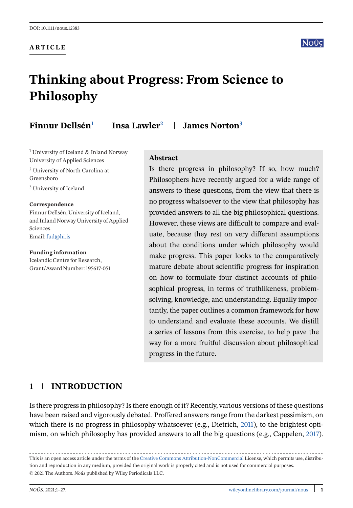**ARTICLE**

# **Thinking about Progress: From Science to Philosophy**

**Finnur Dellsén<sup>1</sup> Insa Lawler2 James Norton<sup>3</sup>**

<sup>1</sup> University of Iceland & Inland Norway University of Applied Sciences

<sup>2</sup> University of North Carolina at Greensboro

<sup>3</sup> University of Iceland

#### **Correspondence**

Finnur Dellsén, University of Iceland, and Inland Norway University of Applied **Sciences** Email:[fud@hi.is](mailto:fud@hi.is)

**Funding information**

Icelandic Centre for Research, Grant/Award Number: 195617-051

#### **Abstract**

Is there progress in philosophy? If so, how much? Philosophers have recently argued for a wide range of answers to these questions, from the view that there is no progress whatsoever to the view that philosophy has provided answers to all the big philosophical questions. However, these views are difficult to compare and evaluate, because they rest on very different assumptions about the conditions under which philosophy would make progress. This paper looks to the comparatively mature debate about scientific progress for inspiration on how to formulate four distinct accounts of philosophical progress, in terms of truthlikeness, problemsolving, knowledge, and understanding. Equally importantly, the paper outlines a common framework for how to understand and evaluate these accounts. We distill a series of lessons from this exercise, to help pave the way for a more fruitful discussion about philosophical progress in the future.

# **1 INTRODUCTION**

Is there progress in philosophy? Is there enough of it? Recently, various versions of these questions have been raised and vigorously debated. Proffered answers range from the darkest pessimism, on which there is no progress in philosophy whatsoever (e.g., Dietrich, [2011\)](#page-23-0), to the brightest optimism, on which philosophy has provided answers to all the big questions (e.g., Cappelen, [2017\)](#page-23-0).

This is an open access article under the terms of the [Creative Commons Attribution-NonCommercial](http://creativecommons.org/licenses/by-nc/4.0/) License, which permits use, distribution and reproduction in any medium, provided the original work is properly cited and is not used for commercial purposes. © 2021 The Authors. *Noûs* published by Wiley Periodicals LLC.

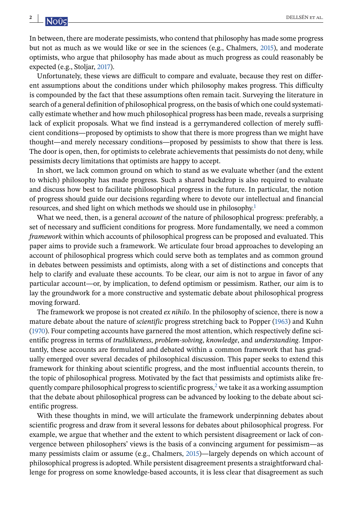In between, there are moderate pessimists, who contend that philosophy has made some progress but not as much as we would like or see in the sciences (e.g., Chalmers, [2015\)](#page-23-0), and moderate optimists, who argue that philosophy has made about as much progress as could reasonably be expected (e.g., Stoljar, [2017\)](#page-25-0).

Unfortunately, these views are difficult to compare and evaluate, because they rest on different assumptions about the conditions under which philosophy makes progress. This difficulty is compounded by the fact that these assumptions often remain tacit. Surveying the literature in search of a general definition of philosophical progress, on the basis of which one could systematically estimate whether and how much philosophical progress has been made, reveals a surprising lack of explicit proposals. What we find instead is a gerrymandered collection of merely sufficient conditions—proposed by optimists to show that there is more progress than we might have thought—and merely necessary conditions—proposed by pessimists to show that there is less. The door is open, then, for optimists to celebrate achievements that pessimists do not deny, while pessimists decry limitations that optimists are happy to accept.

In short, we lack common ground on which to stand as we evaluate whether (and the extent to which) philosophy has made progress. Such a shared backdrop is also required to evaluate and discuss how best to facilitate philosophical progress in the future. In particular, the notion of progress should guide our decisions regarding where to devote our intellectual and financial resources, and shed light on which methods we should use in philosophy[.](#page-20-0)<sup>1</sup>

What we need, then, is a general *account* of the nature of philosophical progress: preferably, a set of necessary and sufficient conditions for progress. More fundamentally, we need a common *framework* within which accounts of philosophical progress can be proposed and evaluated. This paper aims to provide such a framework. We articulate four broad approaches to developing an account of philosophical progress which could serve both as templates and as common ground in debates between pessimists and optimists, along with a set of distinctions and concepts that help to clarify and evaluate these accounts. To be clear, our aim is not to argue in favor of any particular account—or, by implication, to defend optimism or pessimism. Rather, our aim is to lay the groundwork for a more constructive and systematic debate about philosophical progress moving forward.

The framework we propose is not created *ex nihilo*. In the philosophy of science, there is now a mature debate about the nature of *scientific* progress stretching back to Popper [\(1963\)](#page-25-0) and Kuhn [\(1970\)](#page-24-0). Four competing accounts have garnered the most attention, which respectively define scientific progress in terms of *truthlikeness*, *problem-solving*, *knowledge*, and *understanding*. Importantly, these accounts are formulated and debated within a common framework that has gradually emerged over several decades of philosophical discussion. This paper seeks to extend this framework for thinking about scientific progress, and the most influential accounts therein, to the topic of philosophical progress. Motivated by the fact that pessimists and optimists alike fre-quently compare philosophical progress to scientific progress[,](#page-20-0) $2$  we take it as a working assumption that the debate about philosophical progress can be advanced by looking to the debate about scientific progress.

With these thoughts in mind, we will articulate the framework underpinning debates about scientific progress and draw from it several lessons for debates about philosophical progress. For example, we argue that whether and the extent to which persistent disagreement or lack of convergence between philosophers' views is the basis of a convincing argument for pessimism—as many pessimists claim or assume (e.g., Chalmers, [2015\)](#page-23-0)—largely depends on which account of philosophical progress is adopted. While persistent disagreement presents a straightforward challenge for progress on some knowledge-based accounts, it is less clear that disagreement as such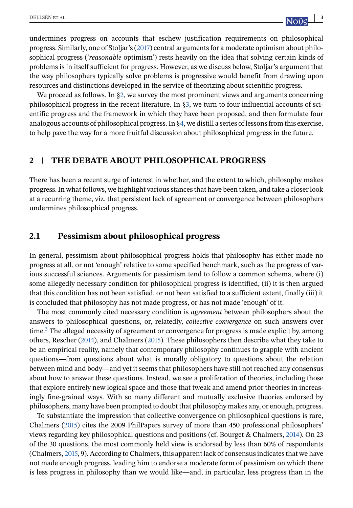undermines progress on accounts that eschew justification requirements on philosophical progress. Similarly, one of Stoljar's [\(2017\)](#page-25-0) central arguments for a moderate optimism about philosophical progress ('*reasonable* optimism') rests heavily on the idea that solving certain kinds of problems is in itself sufficient for progress. However, as we discuss below, Stoljar's argument that the way philosophers typically solve problems is progressive would benefit from drawing upon resources and distinctions developed in the service of theorizing about scientific progress.

We proceed as follows. In §2, we survey the most prominent views and arguments concerning philosophical progress in the recent literature. In [§3,](#page-5-0) we turn to four influential accounts of scientific progress and the framework in which they have been proposed, and then formulate four analogous accounts of philosophical progress. In [§4,](#page-13-0) we distill a series of lessons from this exercise, to help pave the way for a more fruitful discussion about philosophical progress in the future.

# **2 THE DEBATE ABOUT PHILOSOPHICAL PROGRESS**

There has been a recent surge of interest in whether, and the extent to which, philosophy makes progress. In what follows, we highlight various stances that have been taken, and take a closer look at a recurring theme, viz. that persistent lack of agreement or convergence between philosophers undermines philosophical progress.

# **2.1 Pessimism about philosophical progress**

In general, pessimism about philosophical progress holds that philosophy has either made no progress at all, or not 'enough' relative to some specified benchmark, such as the progress of various successful sciences. Arguments for pessimism tend to follow a common schema, where (i) some allegedly necessary condition for philosophical progress is identified, (ii) it is then argued that this condition has not been satisfied, or not been satisfied to a sufficient extent, finally (iii) it is concluded that philosophy has not made progress, or has not made 'enough' of it.

The most commonly cited necessary condition is *agreement* between philosophers about the answers to philosophical questions, or, relatedly, *collective convergence* on such answers over time[.](#page-20-0)<sup>3</sup> The alleged necessity of agreement or convergence for progress is made explicit by, among others, Rescher [\(2014\)](#page-25-0), and Chalmers [\(2015\)](#page-23-0). These philosophers then describe what they take to be an empirical reality, namely that contemporary philosophy continues to grapple with ancient questions—from questions about what is morally obligatory to questions about the relation between mind and body—and yet it seems that philosophers have still not reached any consensus about how to answer these questions. Instead, we see a proliferation of theories, including those that explore entirely new logical space and those that tweak and amend prior theories in increasingly fine-grained ways. With so many different and mutually exclusive theories endorsed by philosophers, many have been prompted to doubt that philosophy makes any, or enough, progress.

To substantiate the impression that collective convergence on philosophical questions is rare, Chalmers [\(2015\)](#page-23-0) cites the 2009 PhilPapers survey of more than 450 professional philosophers' views regarding key philosophical questions and positions (cf. Bourget & Chalmers, [2014\)](#page-23-0). On 23 of the 30 questions, the most commonly held view is endorsed by less than 60% of respondents (Chalmers, [2015,](#page-23-0) 9). According to Chalmers, this apparent lack of consensus indicates that we have not made enough progress, leading him to endorse a moderate form of pessimism on which there is less progress in philosophy than we would like—and, in particular, less progress than in the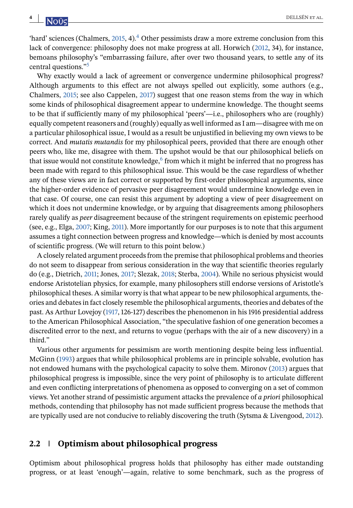<span id="page-3-0"></span>'hard' sciences (Chalmers,  $2015$ , 4)[.](#page-20-0)<sup>4</sup> Other pessimists draw a more extreme conclusion from this lack of convergence: philosophy does not make progress at all. Horwich [\(2012,](#page-24-0) 34), for instance, bemoans philosophy's "embarrassing failure, after over two thousand years, to settle any of its central questions.["](#page-20-0)5

Why exactly would a lack of agreement or convergence undermine philosophical progress? Although arguments to this effect are not always spelled out explicitly, some authors (e.g., Chalmers, [2015;](#page-23-0) see also Cappelen, [2017\)](#page-23-0) suggest that one reason stems from the way in which some kinds of philosophical disagreement appear to undermine knowledge. The thought seems to be that if sufficiently many of my philosophical 'peers'—i.e., philosophers who are (roughly) equally competent reasoners and (roughly) equally as well informed as I am—disagree with me on a particular philosophical issue, I would as a result be unjustified in believing my own views to be correct. And *mutatis mutandis* for my philosophical peers, provided that there are enough other peers who, like me, disagree with them. The upshot would be that our philosophical beliefs on that issue would not constitute knowledge[,](#page-20-0) $6$  from which it might be inferred that no progress has been made with regard to this philosophical issue. This would be the case regardless of whether any of these views are in fact correct or supported by first-order philosophical arguments, since the higher-order evidence of pervasive peer disagreement would undermine knowledge even in that case. Of course, one can resist this argument by adopting a view of peer disagreement on which it does not undermine knowledge, or by arguing that disagreements among philosophers rarely qualify as *peer* disagreement because of the stringent requirements on epistemic peerhood (see, e.g., Elga, [2007;](#page-23-0) King, [2011\)](#page-24-0). More importantly for our purposes is to note that this argument assumes a tight connection between progress and knowledge—which is denied by most accounts of scientific progress. (We will return to this point below.)

A closely related argument proceeds from the premise that philosophical problems and theories do not seem to disappear from serious consideration in the way that scientific theories regularly do (e.g., Dietrich, [2011;](#page-23-0) Jones, [2017;](#page-24-0) Slezak, [2018;](#page-25-0) Sterba, [2004\)](#page-25-0). While no serious physicist would endorse Aristotelian physics, for example, many philosophers still endorse versions of Aristotle's philosophical theses. A similar worry is that what appear to be new philosophical arguments, theories and debates in fact closely resemble the philosophical arguments, theories and debates of the past. As Arthur Lovejoy [\(1917,](#page-24-0) 126-127) describes the phenomenon in his 1916 presidential address to the American Philosophical Association, "the speculative fashion of one generation becomes a discredited error to the next, and returns to vogue (perhaps with the air of a new discovery) in a third."

Various other arguments for pessimism are worth mentioning despite being less influential. McGinn [\(1993\)](#page-24-0) argues that while philosophical problems are in principle solvable, evolution has not endowed humans with the psychological capacity to solve them. Mironov [\(2013\)](#page-24-0) argues that philosophical progress is impossible, since the very point of philosophy is to articulate different and even conflicting interpretations of phenomena as opposed to converging on a set of common views. Yet another strand of pessimistic argument attacks the prevalence of *a priori* philosophical methods, contending that philosophy has not made sufficient progress because the methods that are typically used are not conducive to reliably discovering the truth (Sytsma & Livengood, [2012\)](#page-25-0).

#### **2.2 Optimism about philosophical progress**

Optimism about philosophical progress holds that philosophy has either made outstanding progress, or at least 'enough'—again, relative to some benchmark, such as the progress of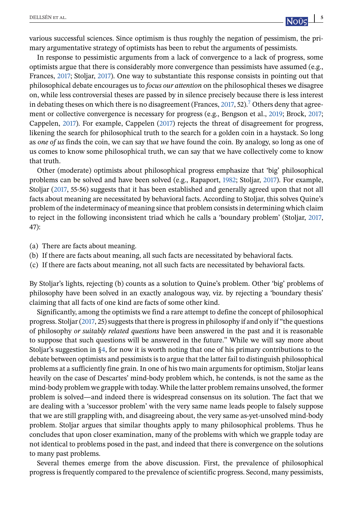various successful sciences. Since optimism is thus roughly the negation of pessimism, the primary argumentative strategy of optimists has been to rebut the arguments of pessimists.

In response to pessimistic arguments from a lack of convergence to a lack of progress, some optimists argue that there is considerably more convergence than pessimists have assumed (e.g., Frances, [2017;](#page-23-0) Stoljar, [2017\)](#page-25-0). One way to substantiate this response consists in pointing out that philosophical debate encourages us to *focus our attention* on the philosophical theses we disagree on, while less controversial theses are passed by in silence precisely because there is less interest in debating theses on which there is no disagreement (Frances, [2017,](#page-23-0) 52)[.](#page-21-0)<sup>7</sup> Others deny that agreement or collective convergence is necessary for progress (e.g., Bengson et al., [2019;](#page-22-0) Brock, [2017;](#page-23-0) Cappelen, [2017\)](#page-23-0). For example, Cappelen [\(2017\)](#page-23-0) rejects the threat of disagreement for progress, likening the search for philosophical truth to the search for a golden coin in a haystack. So long as *one of us* finds the coin, we can say that *we* have found the coin. By analogy, so long as one of us comes to know some philosophical truth, we can say that we have collectively come to know that truth.

Other (moderate) optimists about philosophical progress emphasize that 'big' philosophical problems can be solved and have been solved (e.g., Rapaport, [1982;](#page-25-0) Stoljar, [2017\)](#page-25-0). For example, Stoljar [\(2017,](#page-25-0) 55-56) suggests that it has been established and generally agreed upon that not all facts about meaning are necessitated by behavioral facts. According to Stoljar, this solves Quine's problem of the indeterminacy of meaning since that problem consists in determining which claim to reject in the following inconsistent triad which he calls a 'boundary problem' (Stoljar, [2017,](#page-25-0) 47):

- (a) There are facts about meaning.
- (b) If there are facts about meaning, all such facts are necessitated by behavioral facts.
- (c) If there are facts about meaning, not all such facts are necessitated by behavioral facts.

By Stoljar's lights, rejecting (b) counts as a solution to Quine's problem. Other 'big' problems of philosophy have been solved in an exactly analogous way, viz. by rejecting a 'boundary thesis' claiming that all facts of one kind are facts of some other kind.

Significantly, among the optimists we find a rare attempt to define the concept of philosophical progress. Stoljar [\(2017,](#page-25-0) 25) suggests that there is progress in philosophy if and only if "the questions of philosophy *or suitably related questions* have been answered in the past and it is reasonable to suppose that such questions will be answered in the future." While we will say more about Stoljar's suggestion in [§4,](#page-13-0) for now it is worth noting that one of his primary contributions to the debate between optimists and pessimists is to argue that the latter fail to distinguish philosophical problems at a sufficiently fine grain. In one of his two main arguments for optimism, Stoljar leans heavily on the case of Descartes' mind-body problem which, he contends, is not the same as the mind-body problem we grapple with today. While the latter problem remains unsolved, the former problem is solved—and indeed there is widespread consensus on its solution. The fact that we are dealing with a 'successor problem' with the very same name leads people to falsely suppose that we are still grappling with, and disagreeing about, the very same as-yet-unsolved mind-body problem. Stoljar argues that similar thoughts apply to many philosophical problems. Thus he concludes that upon closer examination, many of the problems with which we grapple today are not identical to problems posed in the past, and indeed that there is convergence on the solutions to many past problems.

Several themes emerge from the above discussion. First, the prevalence of philosophical progress is frequently compared to the prevalence of scientific progress. Second, many pessimists,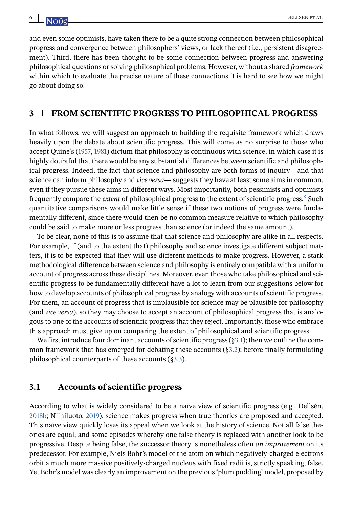and even some optimists, have taken there to be a quite strong connection between philosophical progress and convergence between philosophers' views, or lack thereof (i.e., persistent disagreement). Third, there has been thought to be some connection between progress and answering philosophical questions or solving philosophical problems. However, without a shared *framework* within which to evaluate the precise nature of these connections it is hard to see how we might go about doing so.

#### **3 FROM SCIENTIFIC PROGRESS TO PHILOSOPHICAL PROGRESS**

In what follows, we will suggest an approach to building the requisite framework which draws heavily upon the debate about scientific progress. This will come as no surprise to those who accept Quine's [\(1957,](#page-25-0) [1981\)](#page-25-0) dictum that philosophy is continuous with science, in which case it is highly doubtful that there would be any substantial differences between scientific and philosophical progress. Indeed, the fact that science and philosophy are both forms of inquiry—and that science can inform philosophy and *vice versa*— suggests they have at least some aims in common, even if they pursue these aims in different ways. Most importantly, both pessimists and optimists frequently compare the *extent* of philosophical progress to the extent of scientific progress[.](#page-21-0)8 Such quantitative comparisons would make little sense if these two notions of progress were fundamentally different, since there would then be no common measure relative to which philosophy could be said to make more or less progress than science (or indeed the same amount).

To be clear, none of this is to assume that that science and philosophy are alike in all respects. For example, if (and to the extent that) philosophy and science investigate different subject matters, it is to be expected that they will use different methods to make progress. However, a stark methodological difference between science and philosophy is entirely compatible with a uniform account of progress across these disciplines. Moreover, even those who take philosophical and scientific progress to be fundamentally different have a lot to learn from our suggestions below for how to develop accounts of philosophical progress by analogy with accounts of scientific progress. For them, an account of progress that is implausible for science may be plausible for philosophy (and *vice versa*), so they may choose to accept an account of philosophical progress that is analogous to one of the accounts of scientific progress that they reject. Importantly, those who embrace this approach must give up on comparing the extent of philosophical and scientific progress.

We first introduce four dominant accounts of scientific progress  $(§3.1)$ ; then we outline the common framework that has emerged for debating these accounts ([§3.2\)](#page-8-0); before finally formulating philosophical counterparts of these accounts ([§3.3\)](#page-10-0).

# **3.1 Accounts of scientific progress**

According to what is widely considered to be a naïve view of scientific progress (e.g., Dellsén, [2018b;](#page-23-0) Niiniluoto, [2019\)](#page-25-0), science makes progress when true theories are proposed and accepted. This naïve view quickly loses its appeal when we look at the history of science. Not all false theories are equal, and some episodes whereby one false theory is replaced with another look to be progressive. Despite being false, the successor theory is nonetheless often *an improvement* on its predecessor. For example, Niels Bohr's model of the atom on which negatively-charged electrons orbit a much more massive positively-charged nucleus with fixed radii is, strictly speaking, false. Yet Bohr's model was clearly an improvement on the previous 'plum pudding' model, proposed by

<span id="page-5-0"></span>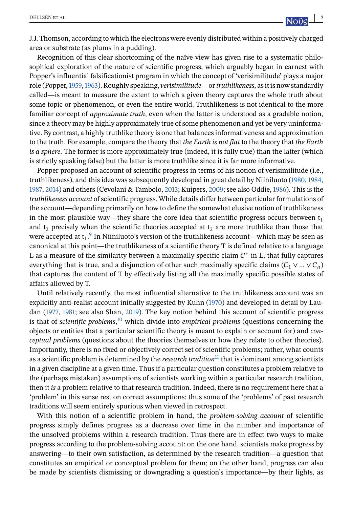J.J. Thomson, according to which the electrons were evenly distributed within a positively charged area or substrate (as plums in a pudding).

Recognition of this clear shortcoming of the naïve view has given rise to a systematic philosophical exploration of the nature of scientific progress, which arguably began in earnest with Popper's influential falsificationist program in which the concept of 'verisimilitude' plays a major role (Popper,[1959,1963\)](#page-25-0). Roughly speaking, *verisimilitude*—or*truthlikeness*, as it is now standardly called—is meant to measure the extent to which a given theory captures the whole truth about some topic or phenomenon, or even the entire world. Truthlikeness is not identical to the more familiar concept of *approximate truth*, even when the latter is understood as a gradable notion, since a theory may be highly approximately true of some phenomenon and yet be very uninformative. By contrast, a highly truthlike theory is one that balances informativeness and approximation to the truth. For example, compare the theory that *the Earth is not flat* to the theory that *the Earth is a sphere*. The former is more approximately true (indeed, it is fully true) than the latter (which is strictly speaking false) but the latter is more truthlike since it is far more informative.

Popper proposed an account of scientific progress in terms of his notion of verisimilitude (i.e., truthlikeness), and this idea was subsequently developed in great detail by Niiniluoto [\(1980,](#page-25-0) [1984,](#page-25-0) [1987,](#page-25-0) [2014\)](#page-25-0) and others (Cevolani & Tambolo, [2013;](#page-23-0) Kuipers, [2009;](#page-24-0) see also Oddie, [1986\)](#page-25-0). This is the *truthlikeness account* of scientific progress. While details differ between particular formulations of the account—depending primarily on how to define the somewhat elusive notion of truthlikeness in the most plausible way—they share the core idea that scientific progress occurs between  $t_1$ and  $t_2$  precisely when the scientific theories accepted at  $t_2$  are more truthlike than those that were accepted at  $t_1$ [.](#page-21-0)<sup>9</sup> In Niiniluoto's version of the truthlikeness account—which may be seen as canonical at this point—the truthlikeness of a scientific theory T is defined relative to a language L as a measure of the similarity between a maximally specific claim  $C^*$  in L, that fully captures everything that is true, and a disjunction of other such maximally specific claims ( $C_1 \vee ... \vee C_n$ ) that captures the content of T by effectively listing all the maximally specific possible states of affairs allowed by T.

Until relatively recently, the most influential alternative to the truthlikeness account was an explicitly anti-realist account initially suggested by Kuhn [\(1970\)](#page-24-0) and developed in detail by Laudan [\(1977,](#page-24-0) [1981;](#page-24-0) see also Shan, [2019\)](#page-25-0). The key notion behind this account of scientific progress is that of *scientific problems*[,](#page-21-0) <sup>10</sup> which divide into *empirical problems* (questions concerning the objects or entities that a particular scientific theory is meant to explain or account for) and *conceptual problems* (questions about the theories themselves or how they relate to other theories). Importantly, there is no fixed or objectively correct set of scientific problems; rather, what counts as a scie[n](#page-21-0)tific problem is determined by the *research tradition*<sup>11</sup> that is dominant among scientists in a given discipline at a given time. Thus if a particular question constitutes a problem relative to the (perhaps mistaken) assumptions of scientists working within a particular research tradition, then it *is* a problem relative to that research tradition. Indeed, there is no requirement here that a 'problem' in this sense rest on correct assumptions; thus some of the 'problems' of past research traditions will seem entirely spurious when viewed in retrospect.

With this notion of a scientific problem in hand, the *problem-solving account* of scientific progress simply defines progress as a decrease over time in the number and importance of the unsolved problems within a research tradition. Thus there are in effect two ways to make progress according to the problem-solving account: on the one hand, scientists make progress by answering—to their own satisfaction, as determined by the research tradition—a question that constitutes an empirical or conceptual problem for them; on the other hand, progress can also be made by scientists dismissing or downgrading a question's importance—by their lights, as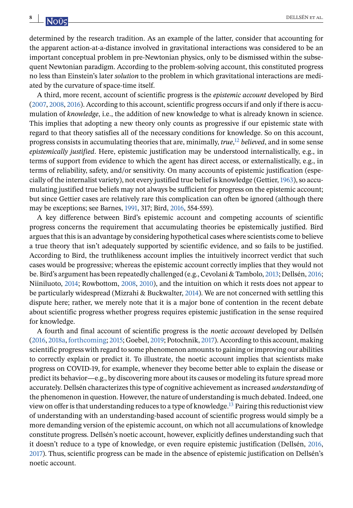determined by the research tradition. As an example of the latter, consider that accounting for the apparent action-at-a-distance involved in gravitational interactions was considered to be an important conceptual problem in pre-Newtonian physics, only to be dismissed within the subsequent Newtonian paradigm. According to the problem-solving account, this constituted progress no less than Einstein's later *solution* to the problem in which gravitational interactions are mediated by the curvature of space-time itself.

A third, more recent, account of scientific progress is the *epistemic account* developed by Bird [\(2007,](#page-22-0) [2008,](#page-22-0) [2016\)](#page-23-0). According to this account, scientific progress occurs if and only if there is accumulation of *knowledge*, i.e., the addition of new knowledge to what is already known in science. This implies that adopting a new theory only counts as progressive if our epistemic state with regard to that theory satisfies all of the necessary conditions for knowledge. So on this account, progress consists in accumulating theories that are, minimally, *true*[,](#page-21-0) <sup>12</sup> *believed*, and in some sense *epistemically justified*. Here, epistemic justification may be understood internalistically, e.g., in terms of support from evidence to which the agent has direct access, or externalistically, e.g., in terms of reliability, safety, and/or sensitivity. On many accounts of epistemic justification (especially of the internalist variety), not every justified true belief is knowledge (Gettier,[1963\)](#page-23-0), so accumulating justified true beliefs may not always be sufficient for progress on the epistemic account; but since Gettier cases are relatively rare this complication can often be ignored (although there may be exceptions; see Barnes, [1991,](#page-22-0) 317; Bird, [2016,](#page-23-0) 554-559).

A key difference between Bird's epistemic account and competing accounts of scientific progress concerns the requirement that accumulating theories be epistemically justified. Bird argues that this is an advantage by considering hypothetical cases where scientists come to believe a true theory that isn't adequately supported by scientific evidence, and so fails to be justified. According to Bird, the truthlikeness account implies the intuitively incorrect verdict that such cases would be progressive; whereas the epistemic account correctly implies that they would not be. Bird's argument has been repeatedly challenged (e.g., Cevolani & Tambolo, [2013;](#page-23-0) Dellsén, [2016;](#page-23-0) Niiniluoto, [2014;](#page-25-0) Rowbottom, [2008,](#page-25-0) [2010\)](#page-25-0), and the intuition on which it rests does not appear to be particularly widespread (Mizrahi & Buckwalter, [2014\)](#page-25-0). We are not concerned with settling this dispute here; rather, we merely note that it is a major bone of contention in the recent debate about scientific progress whether progress requires epistemic justification in the sense required for knowledge.

A fourth and final account of scientific progress is the *noetic account* developed by Dellsén [\(2016,](#page-23-0) [2018a,](#page-23-0) [forthcoming;](#page-23-0) [2015;](#page-22-0) Goebel, [2019;](#page-23-0) Potochnik, [2017\)](#page-25-0). According to this account, making scientific progress with regard to some phenomenon amounts to gaining or improving our abilities to correctly explain or predict it. To illustrate, the noetic account implies that scientists make progress on COVID-19, for example, whenever they become better able to explain the disease or predict its behavior—e.g., by discovering more about its causes or modeling its future spread more accurately. Dellsén characterizes this type of cognitive achievement as increased *understanding* of the phenomenon in question. However, the nature of understanding is much debated. Indeed, one view on offer is that understanding reduces to a type of knowledge[.](#page-21-0)<sup>13</sup> Pairing this reductionist view of understanding with an understanding-based account of scientific progress would simply be a more demanding version of the epistemic account, on which not all accumulations of knowledge constitute progress. Dellsén's noetic account, however, explicitly defines understanding such that it doesn't reduce to a type of knowledge, or even require epistemic justification (Dellsén, [2016,](#page-23-0) [2017\)](#page-23-0). Thus, scientific progress can be made in the absence of epistemic justification on Dellsén's noetic account.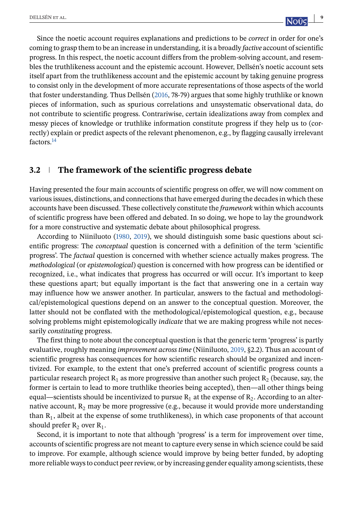<span id="page-8-0"></span>Since the noetic account requires explanations and predictions to be *correct* in order for one's coming to grasp them to be an increase in understanding, it is a broadly *factive* account of scientific progress. In this respect, the noetic account differs from the problem-solving account, and resembles the truthlikeness account and the epistemic account. However, Dellsén's noetic account sets itself apart from the truthlikeness account and the epistemic account by taking genuine progress to consist only in the development of more accurate representations of those aspects of the world that foster understanding. Thus Dellsén [\(2016,](#page-23-0) 78-79) argues that some highly truthlike or known pieces of information, such as spurious correlations and unsystematic observational data, do not contribute to scientific progress. Contrariwise, certain idealizations away from complex and messy pieces of knowledge or truthlike information constitute progress if they help us to (correctly) explain or predict aspects of the relevant phenomenon, e.g., by flagging causally irrelevant factors[.](#page-21-0)14

# **3.2 The framework of the scientific progress debate**

Having presented the four main accounts of scientific progress on offer, we will now comment on various issues, distinctions, and connections that have emerged during the decades in which these accounts have been discussed. These collectively constitute the *framework* within which accounts of scientific progress have been offered and debated. In so doing, we hope to lay the groundwork for a more constructive and systematic debate about philosophical progress.

According to Niiniluoto [\(1980,](#page-25-0) [2019\)](#page-25-0), we should distinguish some basic questions about scientific progress: The *conceptual* question is concerned with a definition of the term 'scientific progress'. The *factual* question is concerned with whether science actually makes progress. The *methodological* (or *epistemological*) question is concerned with how progress can be identified or recognized, i.e., what indicates that progress has occurred or will occur. It's important to keep these questions apart; but equally important is the fact that answering one in a certain way may influence how we answer another. In particular, answers to the factual and methodological/epistemological questions depend on an answer to the conceptual question. Moreover, the latter should not be conflated with the methodological/epistemological question, e.g., because solving problems might epistemologically *indicate* that we are making progress while not necessarily *constituting* progress.

The first thing to note about the conceptual question is that the generic term 'progress' is partly evaluative, roughly meaning *improvement across time* (Niiniluoto, [2019,](#page-25-0) §2.2). Thus an account of scientific progress has consequences for how scientific research should be organized and incentivized. For example, to the extent that one's preferred account of scientific progress counts a particular research project  $R_1$  as more progressive than another such project  $R_2$  (because, say, the former is certain to lead to more truthlike theories being accepted), then—all other things being equal—scientists should be incentivized to pursue  $R_1$  at the expense of  $R_2$ . According to an alternative account,  $R_2$  may be more progressive (e.g., because it would provide more understanding than  $R_1$ , albeit at the expense of some truthlikeness), in which case proponents of that account should prefer  $R_2$  over  $R_1$ .

Second, it is important to note that although 'progress' is a term for improvement over time, accounts of scientific progress are not meant to capture every sense in which science could be said to improve. For example, although science would improve by being better funded, by adopting more reliable ways to conduct peer review, or by increasing gender equality among scientists, these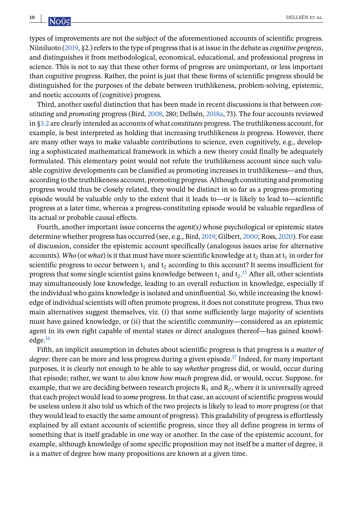types of improvements are not the subject of the aforementioned accounts of scientific progress. Niiniluoto [\(2019,](#page-25-0) §2.) refers to the type of progress that is at issue in the debate as *cognitive progress*, and distinguishes it from methodological, economical, educational, and professional progress in science. This is not to say that these other forms of progress are unimportant, or less important than cognitive progress. Rather, the point is just that these forms of scientific progress should be distinguished for the purposes of the debate between truthlikeness, problem-solving, epistemic, and noetic accounts of (cognitive) progress.

Third, another useful distinction that has been made in recent discussions is that between *constituting* and *promoting* progress (Bird, [2008,](#page-22-0) 280; Dellsén, [2018a,](#page-23-0) 73). The four accounts reviewed in [§3.2](#page-8-0) are clearly intended as accounts of what *constitutes* progress. The truthlikeness account, for example, is best interpreted as holding that increasing truthlikeness *is* progress. However, there are many other ways to make valuable contributions to science, even cognitively, e.g., developing a sophisticated mathematical framework in which a new theory could finally be adequately formulated. This elementary point would not refute the truthlikeness account since such valuable cognitive developments can be classified as promoting increases in truthlikeness—and thus, according to the truthlikeness account, promoting progress. Although constituting and promoting progress would thus be closely related, they would be distinct in so far as a progress-promoting episode would be valuable only to the extent that it leads to—or is likely to lead to—scientific progress at a later time, whereas a progress-constituting episode would be valuable regardless of its actual or probable causal effects.

Fourth, another important issue concerns the *agent(s)* whose psychological or epistemic states determine whether progress has occurred (see, e.g., Bird, [2019;](#page-23-0) Gilbert, [2000;](#page-23-0) Ross, [2020\)](#page-25-0). For ease of discussion, consider the epistemic account specifically (analogous issues arise for alternative accounts). *Who* (or *what*) is it that must have more scientific knowledge at t<sub>2</sub> than at t<sub>1</sub> in order for scientific progress to occur between  $t_1$  and  $t_2$  according to this account? It seems insufficient for progress that some single scientist gains knowledge between  $t_1$  and  $t_2$ [.](#page-21-0)<sup>15</sup> After all, other scientists may simultaneously lose knowledge, leading to an overall reduction in knowledge, especially if the individual who gains knowledge is isolated and uninfluential. So, while increasing the knowledge of individual scientists will often promote progress, it does not constitute progress. Thus two main alternatives suggest themselves, viz. (i) that some sufficiently large majority of scientists must have gained knowledge, or (ii) that the scientific community—considered as an epistemic agent in its own right capable of mental states or direct analogues thereof—has gained knowl-edge[.](#page-21-0)<sup>16</sup>

Fifth, an implicit assumption in debates about scientific progress is that progress is a *matter of degree*: there can be more and less progress during a given episode[.](#page-21-0)<sup>17</sup> Indeed, for many important purposes, it is clearly not enough to be able to say *whether* progress did, or would, occur during that episode; rather, we want to also know *how much* progress did, or would, occur. Suppose, for example, that we are deciding between research projects  $R_1$  and  $R_2$ , where it is universally agreed that each project would lead to *some* progress. In that case, an account of scientific progress would be useless unless it also told us which of the two projects is likely to lead to *more* progress (or that they would lead to exactly the same amount of progress). This gradability of progress is effortlessly explained by all extant accounts of scientific progress, since they all define progress in terms of something that is itself gradable in one way or another. In the case of the epistemic account, for example, although knowledge of some specific proposition may not itself be a matter of degree, it is a matter of degree how many propositions are known at a given time.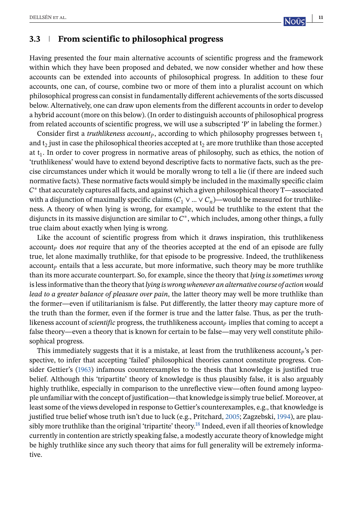# <span id="page-10-0"></span>**3.3 From scientific to philosophical progress**

Having presented the four main alternative accounts of scientific progress and the framework within which they have been proposed and debated, we now consider whether and how these accounts can be extended into accounts of philosophical progress. In addition to these four accounts, one can, of course, combine two or more of them into a pluralist account on which philosophical progress can consist in fundamentally different achievements of the sorts discussed below. Alternatively, one can draw upon elements from the different accounts in order to develop a hybrid account (more on this below). (In order to distinguish accounts of philosophical progress from related accounts of scientific progress, we will use a subscripted 'P' in labeling the former.)

Consider first a *truthlikeness account<sub>p</sub>*, according to which philosophy progresses between  $t_1$ and  $t_2$  just in case the philosophical theories accepted at  $t_2$  are more truthlike than those accepted at  $t<sub>1</sub>$ . In order to cover progress in normative areas of philosophy, such as ethics, the notion of 'truthlikeness' would have to extend beyond descriptive facts to normative facts, such as the precise circumstances under which it would be morally wrong to tell a lie (if there are indeed such normative facts). These normative facts would simply be included in the maximally specific claim  $\mathcal{C}^*$  that accurately captures all facts, and against which a given philosophical theory T—associated with a disjunction of maximally specific claims  $(C_1 \vee ... \vee C_n)$ —would be measured for truthlikeness. A theory of when lying is wrong, for example, would be truthlike to the extent that the disjuncts in its massive disjunction are similar to  $C^*$ , which includes, among other things, a fully true claim about exactly when lying is wrong.

Like the account of scientific progress from which it draws inspiration, this truthlikeness  $account<sub>p</sub>$  does *not* require that any of the theories accepted at the end of an episode are fully true, let alone maximally truthlike, for that episode to be progressive. Indeed, the truthlikeness  $account<sub>p</sub>$  entails that a less accurate, but more informative, such theory may be more truthlike than its more accurate counterpart. So, for example, since the theory that *lying is sometimes wrong* is less informative than the theory that *lying is wrong whenever an alternative course of action would lead to a greater balance of pleasure over pain*, the latter theory may well be more truthlike than the former—even if utilitarianism is false. Put differently, the latter theory may capture more of the truth than the former, even if the former is true and the latter false. Thus, as per the truthlikeness account of *scientific* progress, the truthlikeness account<sub>p</sub> implies that coming to accept a false theory—even a theory that is known for certain to be false—may very well constitute philosophical progress.

This immediately suggests that it is a mistake, at least from the truthlikeness account<sub>p</sub>'s perspective, to infer that accepting 'failed' philosophical theories cannot constitute progress. Consider Gettier's [\(1963\)](#page-23-0) infamous counterexamples to the thesis that knowledge is justified true belief. Although this 'tripartite' theory of knowledge is thus plausibly false, it is also arguably highly truthlike, especially in comparison to the unreflective view—often found among laypeople unfamiliar with the concept of justification—that knowledge is simply true belief. Moreover, at least some of the views developed in response to Gettier's counterexamples, e.g., that knowledge is justified true belief whose truth isn't due to luck (e.g., Pritchard, [2005;](#page-25-0) Zagzebski, [1994\)](#page-26-0), are plau-sibly more truthlike than the original 'tripartite' theory[.](#page-21-0)<sup>18</sup> Indeed, even if all theories of knowledge currently in contention are strictly speaking false, a modestly accurate theory of knowledge might be highly truthlike since any such theory that aims for full generality will be extremely informative.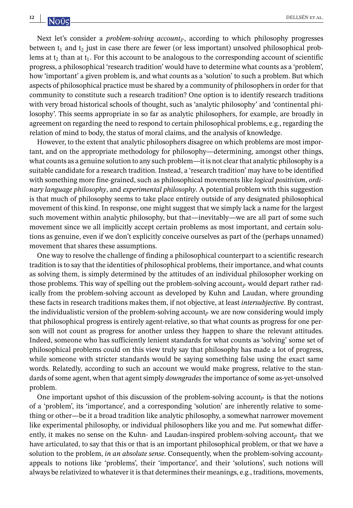Next let's consider a *problem-solving account<sub>p</sub>*, according to which philosophy progresses between  $t_1$  and  $t_2$  just in case there are fewer (or less important) unsolved philosophical problems at  $t_2$  than at  $t_1$ . For this account to be analogous to the corresponding account of scientific progress, a philosophical 'research tradition' would have to determine what counts as a 'problem', how 'important' a given problem is, and what counts as a 'solution' to such a problem. But which aspects of philosophical practice must be shared by a community of philosophers in order for that community to constitute such a research tradition? One option is to identify research traditions with very broad historical schools of thought, such as 'analytic philosophy' and 'continental philosophy'. This seems appropriate in so far as analytic philosophers, for example, are broadly in agreement on regarding the need to respond to certain philosophical problems, e.g., regarding the relation of mind to body, the status of moral claims, and the analysis of knowledge.

However, to the extent that analytic philosophers disagree on which problems are most important, and on the appropriate methodology for philosophy—determining, amongst other things, what counts as a genuine solution to any such problem—it is not clear that analytic philosophy is a suitable candidate for a research tradition. Instead, a 'research tradition' may have to be identified with something more fine-grained, such as philosophical movements like *logical positivism*, *ordinary language philosophy*, and *experimental philosophy*. A potential problem with this suggestion is that much of philosophy seems to take place entirely outside of any designated philosophical movement of this kind. In response, one might suggest that we simply lack a name for the largest such movement within analytic philosophy, but that—inevitably—we are all part of some such movement since we all implicitly accept certain problems as most important, and certain solutions as genuine, even if we don't explicitly conceive ourselves as part of the (perhaps unnamed) movement that shares these assumptions.

One way to resolve the challenge of finding a philosophical counterpart to a scientific research tradition is to say that the identities of philosophical problems, their importance, and what counts as solving them, is simply determined by the attitudes of an individual philosopher working on those problems. This way of spelling out the problem-solving account<sub>p</sub> would depart rather radically from the problem-solving account as developed by Kuhn and Laudan, where grounding these facts in research traditions makes them, if not objective, at least *intersubjective*. By contrast, the individualistic version of the problem-solving account<sub>p</sub> we are now considering would imply that philosophical progress is entirely agent-relative, so that what counts as progress for one person will not count as progress for another unless they happen to share the relevant attitudes. Indeed, someone who has sufficiently lenient standards for what counts as 'solving' some set of philosophical problems could on this view truly say that philosophy has made a lot of progress, while someone with stricter standards would be saying something false using the exact same words. Relatedly, according to such an account we would make progress, relative to the standards of some agent, when that agent simply *downgrades* the importance of some as-yet-unsolved problem.

One important upshot of this discussion of the problem-solving account<sub>p</sub> is that the notions of a 'problem', its 'importance', and a corresponding 'solution' are inherently relative to something or other—be it a broad tradition like analytic philosophy, a somewhat narrower movement like experimental philosophy, or individual philosophers like you and me. Put somewhat differently, it makes no sense on the Kuhn- and Laudan-inspired problem-solving account<sub>p</sub> that we have articulated, to say that this or that is an important philosophical problem, or that we have a solution to the problem, *in an absolute sense*. Consequently, when the problem-solving account<sub>p</sub> appeals to notions like 'problems', their 'importance', and their 'solutions', such notions will always be relativized to whatever it is that determines their meanings, e.g., traditions, movements,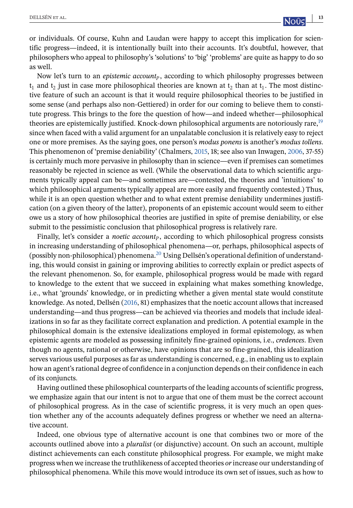or individuals. Of course, Kuhn and Laudan were happy to accept this implication for scientific progress—indeed, it is intentionally built into their accounts. It's doubtful, however, that philosophers who appeal to philosophy's 'solutions' to 'big' 'problems' are quite as happy to do so as well.

Now let's turn to an *epistemic account<sub>p</sub>*, according to which philosophy progresses between  $t_1$  and  $t_2$  just in case more philosophical theories are known at  $t_2$  than at  $t_1$ . The most distinctive feature of such an account is that it would require philosophical theories to be justified in some sense (and perhaps also non-Gettiered) in order for our coming to believe them to constitute progress. This brings to the fore the question of how—and indeed whether—philosophical theories are epistemically justified. Knock-down philosophical arguments are notoriously rare[,](#page-21-0)<sup>19</sup> since when faced with a valid argument for an unpalatable conclusion it is relatively easy to reject one or more premises. As the saying goes, one person's *modus ponens* is another's *modus tollens*. This phenomenon of 'premise deniability' (Chalmers, [2015,](#page-23-0) 18; see also van Inwagen, [2006,](#page-26-0) 37-55) is certainly much more pervasive in philosophy than in science—even if premises can sometimes reasonably be rejected in science as well. (While the observational data to which scientific arguments typically appeal can be—and sometimes are—contested, the theories and 'intuitions' to which philosophical arguments typically appeal are more easily and frequently contested.) Thus, while it is an open question whether and to what extent premise deniability undermines justification (on a given theory of the latter), proponents of an epistemic account would seem to either owe us a story of how philosophical theories are justified in spite of premise deniability, or else submit to the pessimistic conclusion that philosophical progress is relatively rare.

Finally, let's consider a *noetic account<sub>p</sub>*, according to which philosophical progress consists in increasing understanding of philosophical phenomena—or, perhaps, philosophical aspects of (possibly non-philosophical) phenomena[.](#page-21-0)<sup>20</sup> Using Dellsén's operational definition of understanding, this would consist in gaining or improving abilities to correctly explain or predict aspects of the relevant phenomenon. So, for example, philosophical progress would be made with regard to knowledge to the extent that we succeed in explaining what makes something knowledge, i.e., what 'grounds' knowledge, or in predicting whether a given mental state would constitute knowledge. As noted, Dellsén [\(2016,](#page-23-0) 81) emphasizes that the noetic account allows that increased understanding—and thus progress—can be achieved via theories and models that include idealizations in so far as they facilitate correct explanation and prediction. A potential example in the philosophical domain is the extensive idealizations employed in formal epistemology, as when epistemic agents are modeled as possessing infinitely fine-grained opinions, i.e., *credences*. Even though no agents, rational or otherwise, have opinions that are so fine-grained, this idealization serves various useful purposes as far as understanding is concerned, e.g., in enabling us to explain how an agent's rational degree of confidence in a conjunction depends on their confidence in each of its conjuncts.

Having outlined these philosophical counterparts of the leading accounts of scientific progress, we emphasize again that our intent is not to argue that one of them must be the correct account of philosophical progress. As in the case of scientific progress, it is very much an open question whether any of the accounts adequately defines progress or whether we need an alternative account.

Indeed, one obvious type of alternative account is one that combines two or more of the accounts outlined above into a *pluralist* (or disjunctive) account. On such an account, multiple distinct achievements can each constitute philosophical progress. For example, we might make progress when we increase the truthlikeness of accepted theories *or*increase our understanding of philosophical phenomena. While this move would introduce its own set of issues, such as how to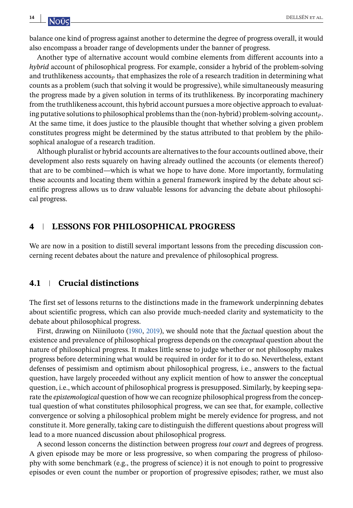<span id="page-13-0"></span>balance one kind of progress against another to determine the degree of progress overall, it would also encompass a broader range of developments under the banner of progress.

Another type of alternative account would combine elements from different accounts into a *hybrid* account of philosophical progress. For example, consider a hybrid of the problem-solving and truthlikeness accounts  $\mathbf{p}$  that emphasizes the role of a research tradition in determining what counts as a problem (such that solving it would be progressive), while simultaneously measuring the progress made by a given solution in terms of its truthlikeness. By incorporating machinery from the truthlikeness account, this hybrid account pursues a more objective approach to evaluating putative solutions to philosophical problems than the (non-hybrid) problem-solving account. At the same time, it does justice to the plausible thought that whether solving a given problem constitutes progress might be determined by the status attributed to that problem by the philosophical analogue of a research tradition.

Although pluralist or hybrid accounts are alternatives to the four accounts outlined above, their development also rests squarely on having already outlined the accounts (or elements thereof) that are to be combined—which is what we hope to have done. More importantly, formulating these accounts and locating them within a general framework inspired by the debate about scientific progress allows us to draw valuable lessons for advancing the debate about philosophical progress.

#### **4 LESSONS FOR PHILOSOPHICAL PROGRESS**

We are now in a position to distill several important lessons from the preceding discussion concerning recent debates about the nature and prevalence of philosophical progress.

#### **4.1 Crucial distinctions**

The first set of lessons returns to the distinctions made in the framework underpinning debates about scientific progress, which can also provide much-needed clarity and systematicity to the debate about philosophical progress.

First, drawing on Niiniluoto [\(1980,](#page-25-0) [2019\)](#page-25-0), we should note that the *factual* question about the existence and prevalence of philosophical progress depends on the *conceptual* question about the nature of philosophical progress. It makes little sense to judge whether or not philosophy makes progress before determining what would be required in order for it to do so. Nevertheless, extant defenses of pessimism and optimism about philosophical progress, i.e., answers to the factual question, have largely proceeded without any explicit mention of how to answer the conceptual question, i.e., which account of philosophical progress is presupposed. Similarly, by keeping separate the *epistemological* question of how we can recognize philosophical progress from the conceptual question of what constitutes philosophical progress, we can see that, for example, collective convergence or solving a philosophical problem might be merely evidence for progress, and not constitute it. More generally, taking care to distinguish the different questions about progress will lead to a more nuanced discussion about philosophical progress.

A second lesson concerns the distinction between progress *tout court* and degrees of progress. A given episode may be more or less progressive, so when comparing the progress of philosophy with some benchmark (e.g., the progress of science) it is not enough to point to progressive episodes or even count the number or proportion of progressive episodes; rather, we must also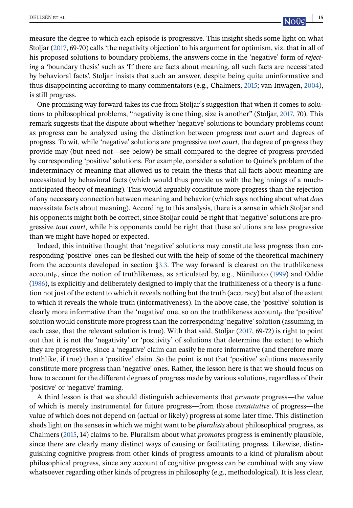measure the degree to which each episode is progressive. This insight sheds some light on what Stoljar [\(2017,](#page-25-0) 69-70) calls 'the negativity objection' to his argument for optimism, viz. that in all of his proposed solutions to boundary problems, the answers come in the 'negative' form of *rejecting* a 'boundary thesis' such as 'If there are facts about meaning, all such facts are necessitated by behavioral facts'. Stoljar insists that such an answer, despite being quite uninformative and thus disappointing according to many commentators (e.g., Chalmers, [2015;](#page-23-0) van Inwagen, [2004\)](#page-25-0), is still progress.

One promising way forward takes its cue from Stoljar's suggestion that when it comes to solutions to philosophical problems, "negativity is one thing, size is another" (Stoljar, [2017,](#page-25-0) 70). This remark suggests that the dispute about whether 'negative' solutions to boundary problems count as progress can be analyzed using the distinction between progress *tout court* and degrees of progress. To wit, while 'negative' solutions are progressive *tout court*, the degree of progress they provide may (but need not—see below) be small compared to the degree of progress provided by corresponding 'positive' solutions. For example, consider a solution to Quine's problem of the indeterminacy of meaning that allowed us to retain the thesis that all facts about meaning are necessitated by behavioral facts (which would thus provide us with the beginnings of a muchanticipated theory of meaning). This would arguably constitute more progress than the rejection of any necessary connection between meaning and behavior (which says nothing about what *does* necessitate facts about meaning). According to this analysis, there is a sense in which Stoljar and his opponents might both be correct, since Stoljar could be right that 'negative' solutions are progressive *tout court*, while his opponents could be right that these solutions are less progressive than we might have hoped or expected.

Indeed, this intuitive thought that 'negative' solutions may constitute less progress than corresponding 'positive' ones can be fleshed out with the help of some of the theoretical machinery from the accounts developed in section [§3.3.](#page-10-0) The way forward is clearest on the truthlikeness account<sub>p</sub>, since the notion of truthlikeness, as articulated by, e.g., Niiniluoto [\(1999\)](#page-25-0) and Oddie [\(1986\)](#page-25-0), is explicitly and deliberately designed to imply that the truthlikeness of a theory is a function not just of the extent to which it reveals nothing but the truth (accuracy) but also of the extent to which it reveals the whole truth (informativeness). In the above case, the 'positive' solution is clearly more informative than the 'negative' one, so on the truthlikeness account<sub>p</sub> the 'positive' solution would constitute more progress than the corresponding 'negative' solution (assuming, in each case, that the relevant solution is true). With that said, Stoljar [\(2017,](#page-25-0) 69-72) is right to point out that it is not the 'negativity' or 'positivity' of solutions that determine the extent to which they are progressive, since a 'negative' claim can easily be more informative (and therefore more truthlike, if true) than a 'positive' claim. So the point is not that 'positive' solutions necessarily constitute more progress than 'negative' ones. Rather, the lesson here is that we should focus on how to account for the different degrees of progress made by various solutions, regardless of their 'positive' or 'negative' framing.

A third lesson is that we should distinguish achievements that *promote* progress—the value of which is merely instrumental for future progress—from those *constitutive* of progress—the value of which does not depend on (actual or likely) progress at some later time. This distinction sheds light on the senses in which we might want to be *pluralists* about philosophical progress, as Chalmers [\(2015,](#page-23-0) 14) claims to be. Pluralism about what *promotes* progress is eminently plausible, since there are clearly many distinct ways of causing or facilitating progress. Likewise, distinguishing cognitive progress from other kinds of progress amounts to a kind of pluralism about philosophical progress, since any account of cognitive progress can be combined with any view whatsoever regarding other kinds of progress in philosophy (e.g., methodological). It is less clear,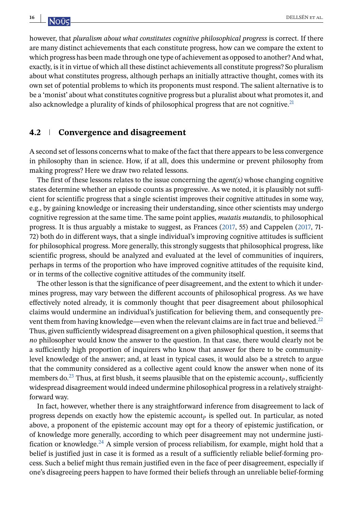however, that *pluralism about what constitutes cognitive philosophical progress* is correct. If there are many distinct achievements that each constitute progress, how can we compare the extent to which progress has been made through one type of achievement as opposed to another? And what, exactly, is it in virtue of which all these distinct achievements all constitute progress? So pluralism about what constitutes progress, although perhaps an initially attractive thought, comes with its own set of potential problems to which its proponents must respond. The salient alternative is to be a 'monist' about what constitutes cognitive progress but a pluralist about what promotes it, and also acknowledge a plurality of kinds of philosophical progress that are not cognitive[.](#page-21-0)<sup>21</sup>

#### **4.2 Convergence and disagreement**

A second set of lessons concerns what to make of the fact that there appears to be less convergence in philosophy than in science. How, if at all, does this undermine or prevent philosophy from making progress? Here we draw two related lessons.

The first of these lessons relates to the issue concerning the *agent(s)* whose changing cognitive states determine whether an episode counts as progressive. As we noted, it is plausibly not sufficient for scientific progress that a single scientist improves their cognitive attitudes in some way, e.g., by gaining knowledge or increasing their understanding, since other scientists may undergo cognitive regression at the same time. The same point applies, *mutatis mutandis*, to philosophical progress. It is thus arguably a mistake to suggest, as Frances [\(2017,](#page-23-0) 55) and Cappelen [\(2017,](#page-23-0) 71- 72) both do in different ways, that a single individual's improving cognitive attitudes is sufficient for philosophical progress. More generally, this strongly suggests that philosophical progress, like scientific progress, should be analyzed and evaluated at the level of communities of inquirers, perhaps in terms of the proportion who have improved cognitive attitudes of the requisite kind, or in terms of the collective cognitive attitudes of the community itself.

The other lesson is that the significance of peer disagreement, and the extent to which it undermines progress, may vary between the different accounts of philosophical progress. As we have effectively noted already, it is commonly thought that peer disagreement about philosophical claims would undermine an individual's justification for believing them, and consequently pre-vent them from having knowledge—even when the relevant claims are in fact true and believed[.](#page-21-0)<sup>22</sup> Thus, given sufficiently widespread disagreement on a given philosophical question, it seems that *no* philosopher would know the answer to the question. In that case, there would clearly not be a sufficiently high proportion of inquirers who know that answer for there to be communitylevel knowledge of the answer; and, at least in typical cases, it would also be a stretch to argue that the community considered as a collective agent could know the answer when none of its members do[.](#page-21-0)<sup>23</sup> Thus, at first blush, it seems plausible that on the epistemic account<sub>p</sub>, sufficiently widespread disagreement would indeed undermine philosophical progress in a relatively straightforward way.

In fact, however, whether there is any straightforward inference from disagreement to lack of progress depends on exactly how the epistemic account<sub>p</sub> is spelled out. In particular, as noted above, a proponent of the epistemic account may opt for a theory of epistemic justification, or of knowledge more generally, according to which peer disagreement may not undermine justi-fication or knowledge[.](#page-22-0)<sup>24</sup> A simple version of process reliabilism, for example, might hold that a belief is justified just in case it is formed as a result of a sufficiently reliable belief-forming process. Such a belief might thus remain justified even in the face of peer disagreement, especially if one's disagreeing peers happen to have formed their beliefs through an unreliable belief-forming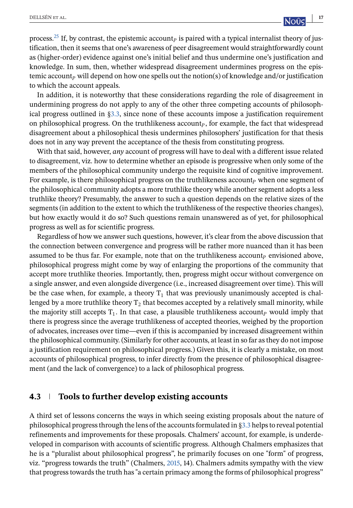process[.](#page-22-0)<sup>25</sup> If, by contrast, the epistemic account<sub>p</sub> is paired with a typical internalist theory of justification, then it seems that one's awareness of peer disagreement would straightforwardly count as (higher-order) evidence against one's initial belief and thus undermine one's justification and knowledge. In sum, then, whether widespread disagreement undermines progress on the epistemic account<sub>p</sub> will depend on how one spells out the notion(s) of knowledge and/or justification to which the account appeals.

In addition, it is noteworthy that these considerations regarding the role of disagreement in undermining progress do not apply to any of the other three competing accounts of philosophical progress outlined in [§3.3,](#page-10-0) since none of these accounts impose a justification requirement on philosophical progress. On the truthlikeness  $account<sub>P</sub>$ , for example, the fact that widespread disagreement about a philosophical thesis undermines philosophers' justification for that thesis does not in any way prevent the acceptance of the thesis from constituting progress.

With that said, however, *any* account of progress will have to deal with a different issue related to disagreement, viz. how to determine whether an episode is progressive when only some of the members of the philosophical community undergo the requisite kind of cognitive improvement. For example, is there philosophical progress on the truthlikeness account<sub>p</sub> when one segment of the philosophical community adopts a more truthlike theory while another segment adopts a less truthlike theory? Presumably, the answer to such a question depends on the relative sizes of the segments (in addition to the extent to which the truthlikeness of the respective theories changes), but how exactly would it do so? Such questions remain unanswered as of yet, for philosophical progress as well as for scientific progress.

Regardless of how we answer such questions, however, it's clear from the above discussion that the connection between convergence and progress will be rather more nuanced than it has been assumed to be thus far. For example, note that on the truthlikeness account  $_p$  envisioned above, philosophical progress might come by way of enlarging the proportions of the community that accept more truthlike theories. Importantly, then, progress might occur without convergence on a single answer, and even alongside divergence (i.e., increased disagreement over time). This will be the case when, for example, a theory  $T_1$  that was previously unanimously accepted is challenged by a more truthlike theory  $T_2$  that becomes accepted by a relatively small minority, while the majority still accepts  $T_1$ . In that case, a plausible truthlikeness account<sub>p</sub> would imply that there is progress since the average truthlikeness of accepted theories, weighed by the proportion of advocates, increases over time—even if this is accompanied by increased disagreement within the philosophical community. (Similarly for other accounts, at least in so far as they do not impose a justification requirement on philosophical progress.) Given this, it is clearly a mistake, on most accounts of philosophical progress, to infer directly from the presence of philosophical disagreement (and the lack of convergence) to a lack of philosophical progress.

# **4.3 Tools to further develop existing accounts**

A third set of lessons concerns the ways in which seeing existing proposals about the nature of philosophical progress through the lens of the accounts formulated in [§3.3](#page-10-0) helps to reveal potential refinements and improvements for these proposals. Chalmers' account, for example, is underdeveloped in comparison with accounts of scientific progress. Although Chalmers emphasizes that he is a "pluralist about philosophical progress", he primarily focuses on one "form" of progress, viz. "progress towards the truth" (Chalmers, [2015,](#page-23-0) 14). Chalmers admits sympathy with the view that progress towards the truth has "a certain primacy among the forms of philosophical progress"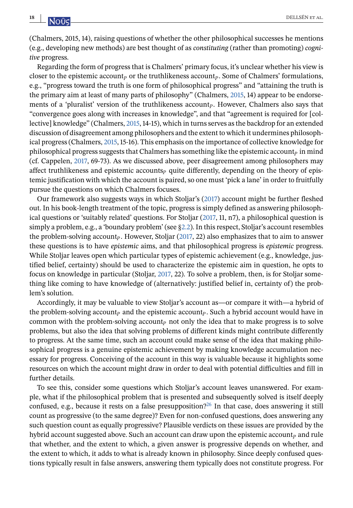(Chalmers, 2015, 14), raising questions of whether the other philosophical successes he mentions (e.g., developing new methods) are best thought of as *constituting* (rather than promoting) *cognitive* progress.

Regarding the form of progress that is Chalmers' primary focus, it's unclear whether his view is closer to the epistemic account<sub>p</sub> or the truthlikeness account<sub>p</sub>. Some of Chalmers' formulations, e.g., "progress toward the truth is one form of philosophical progress" and "attaining the truth is the primary aim at least of many parts of philosophy" (Chalmers, [2015,](#page-23-0) 14) appear to be endorsements of a 'pluralist' version of the truthlikeness account<sub>p</sub>. However, Chalmers also says that "convergence goes along with increases in knowledge", and that "agreement is required for [collective] knowledge" (Chalmers, [2015,](#page-23-0) 14-15), which in turns serves as the backdrop for an extended discussion of disagreement among philosophers and the extent to which it undermines philosophical progress (Chalmers, [2015,](#page-23-0) 15-16). This emphasis on the importance of collective knowledge for philosophical progress suggests that Chalmers has something like the epistemic account  $\bar{p}$  in mind (cf. Cappelen, [2017,](#page-23-0) 69-73). As we discussed above, peer disagreement among philosophers may affect truthlikeness and epistemic accounts  $_{P}$  quite differently, depending on the theory of epistemic justification with which the account is paired, so one must 'pick a lane' in order to fruitfully pursue the questions on which Chalmers focuses.

Our framework also suggests ways in which Stoljar's [\(2017\)](#page-25-0) account might be further fleshed out. In his book-length treatment of the topic, progress is simply defined as answering philosophical questions or 'suitably related' questions. For Stoljar [\(2017,](#page-25-0) 11, n7), a philosophical question is simply a problem, e.g., a 'boundary problem' (see [§2.2\)](#page-3-0). In this respect, Stoljar's account resembles the problem-solving account<sub>p</sub>. However, Stoljar [\(2017,](#page-25-0) 22) also emphasizes that to aim to answer these questions is to have *epistemic* aims, and that philosophical progress is *epistemic* progress. While Stoljar leaves open which particular types of epistemic achievement (e.g., knowledge, justified belief, certainty) should be used to characterize the epistemic aim in question, he opts to focus on knowledge in particular (Stoljar, [2017,](#page-25-0) 22). To solve a problem, then, is for Stoljar something like coming to have knowledge of (alternatively: justified belief in, certainty of) the problem's solution.

Accordingly, it may be valuable to view Stoljar's account as—or compare it with—a hybrid of the problem-solving account<sub>p</sub> and the epistemic account<sub>p</sub>. Such a hybrid account would have in common with the problem-solving account<sub>p</sub> not only the idea that to make progress is to solve problems, but also the idea that solving problems of different kinds might contribute differently to progress. At the same time, such an account could make sense of the idea that making philosophical progress is a genuine epistemic achievement by making knowledge accumulation necessary for progress. Conceiving of the account in this way is valuable because it highlights some resources on which the account might draw in order to deal with potential difficulties and fill in further details.

To see this, consider some questions which Stoljar's account leaves unanswered. For example, what if the philosophical problem that is presented and subsequently solved is itself deeply confused, e.g., because it rests on a false presupposition[?](#page-22-0)<sup>26</sup> In that case, does answering it still count as progressive (to the same degree)? Even for non-confused questions, does answering any such question count as equally progressive? Plausible verdicts on these issues are provided by the hybrid account suggested above. Such an account can draw upon the epistemic account<sub>p</sub> and rule that whether, and the extent to which, a given answer is progressive depends on whether, and the extent to which, it adds to what is already known in philosophy. Since deeply confused questions typically result in false answers, answering them typically does not constitute progress. For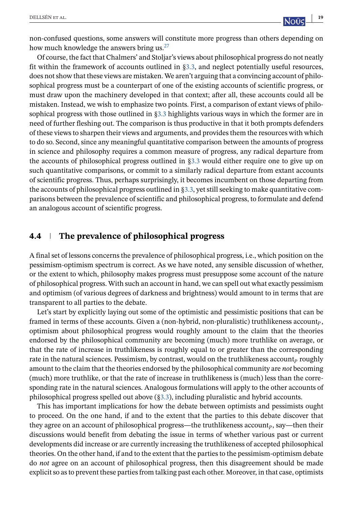non-confused questions, some answers will constitute more progress than others depending on how much knowledge the answers bring us[.](#page-22-0)<sup>27</sup>

Of course, the fact that Chalmers' and Stoljar's views about philosophical progress do not neatly fit within the framework of accounts outlined in [§3.3,](#page-10-0) and neglect potentially useful resources, does not show that these views are mistaken. We aren't arguing that a convincing account of philosophical progress must be a counterpart of one of the existing accounts of scientific progress, or must draw upon the machinery developed in that context; after all, these accounts could all be mistaken. Instead, we wish to emphasize two points. First, a comparison of extant views of philosophical progress with those outlined in [§3.3](#page-10-0) highlights various ways in which the former are in need of further fleshing out. The comparison is thus productive in that it both prompts defenders of these views to sharpen their views and arguments, and provides them the resources with which to do so. Second, since any meaningful quantitative comparison between the amounts of progress in science and philosophy requires a common measure of progress, any radical departure from the accounts of philosophical progress outlined in [§3.3](#page-10-0) would either require one to give up on such quantitative comparisons, or commit to a similarly radical departure from extant accounts of scientific progress. Thus, perhaps surprisingly, it becomes incumbent on those departing from the accounts of philosophical progress outlined in [§3.3,](#page-10-0) yet still seeking to make quantitative comparisons between the prevalence of scientific and philosophical progress, to formulate and defend an analogous account of scientific progress.

#### **4.4 The prevalence of philosophical progress**

A final set of lessons concerns the prevalence of philosophical progress, i.e., which position on the pessimism-optimism spectrum is correct. As we have noted, any sensible discussion of whether, or the extent to which, philosophy makes progress must presuppose some account of the nature of philosophical progress. With such an account in hand, we can spell out what exactly pessimism and optimism (of various degrees of darkness and brightness) would amount to in terms that are transparent to all parties to the debate.

Let's start by explicitly laying out some of the optimistic and pessimistic positions that can be framed in terms of these accounts. Given a (non-hybrid, non-pluralistic) truthlikeness account<sub>p</sub>, optimism about philosophical progress would roughly amount to the claim that the theories endorsed by the philosophical community are becoming (much) more truthlike on average, or that the rate of increase in truthlikeness is roughly equal to or greater than the corresponding rate in the natural sciences. Pessimism, by contrast, would on the truthlikeness account  $P$  roughly amount to the claim that the theories endorsed by the philosophical community are *not* becoming (much) more truthlike, or that the rate of increase in truthlikeness is (much) less than the corresponding rate in the natural sciences. Analogous formulations will apply to the other accounts of philosophical progress spelled out above ([§3.3\)](#page-10-0), including pluralistic and hybrid accounts.

This has important implications for how the debate between optimists and pessimists ought to proceed. On the one hand, if and to the extent that the parties to this debate discover that they agree on an account of philosophical progress—the truthlikeness account<sub>p</sub>, say—then their discussions would benefit from debating the issue in terms of whether various past or current developments did increase or are currently increasing the truthlikeness of accepted philosophical theories. On the other hand, if and to the extent that the parties to the pessimism-optimism debate do *not* agree on an account of philosophical progress, then this disagreement should be made explicit so as to prevent these parties from talking past each other. Moreover, in that case, optimists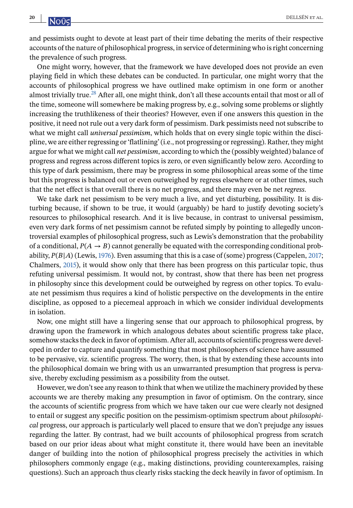and pessimists ought to devote at least part of their time debating the merits of their respective accounts of the nature of philosophical progress, in service of determining who is right concerning the prevalence of such progress.

One might worry, however, that the framework we have developed does not provide an even playing field in which these debates can be conducted. In particular, one might worry that the accounts of philosophical progress we have outlined make optimism in one form or another almost trivially true[.](#page-22-0)28 After all, one might think, don't all these accounts entail that most or all of the time, someone will somewhere be making progress by, e.g., solving some problems or slightly increasing the truthlikeness of their theories? However, even if one answers this question in the positive, it need not rule out a very dark form of pessimism. Dark pessimists need not subscribe to what we might call *universal pessimism*, which holds that on every single topic within the discipline, we are either regressing or 'flatlining' (i.e., not progressing or regressing). Rather, they might argue for what we might call *net pessimism*, according to which the (possibly weighted) balance of progress and regress across different topics is zero, or even significantly below zero. According to this type of dark pessimism, there may be progress in some philosophical areas some of the time but this progress is balanced out or even outweighed by regress elsewhere or at other times, such that the net effect is that overall there is no net progress, and there may even be net *regress*.

We take dark net pessimism to be very much a live, and yet disturbing, possibility. It is disturbing because, if shown to be true, it would (arguably) be hard to justify devoting society's resources to philosophical research. And it is live because, in contrast to universal pessimism, even very dark forms of net pessimism cannot be refuted simply by pointing to allegedly uncontroversial examples of philosophical progress, such as Lewis's demonstration that the probability of a conditional,  $P(A \rightarrow B)$  cannot generally be equated with the corresponding conditional probability,  $P(B|A)$  (Lewis, [1976\)](#page-24-0). Even assuming that this is a case of (some) progress (Cappelen, [2017;](#page-23-0) Chalmers, [2015\)](#page-23-0), it would show only that there has been progress on this particular topic, thus refuting universal pessimism. It would not, by contrast, show that there has been net progress in philosophy since this development could be outweighed by regress on other topics. To evaluate net pessimism thus requires a kind of holistic perspective on the developments in the entire discipline, as opposed to a piecemeal approach in which we consider individual developments in isolation.

Now, one might still have a lingering sense that our approach to philosophical progress, by drawing upon the framework in which analogous debates about scientific progress take place, somehow stacks the deck in favor of optimism. After all, accounts of scientific progress were developed in order to capture and quantify something that most philosophers of science have assumed to be pervasive, viz. scientific progress. The worry, then, is that by extending these accounts into the philosophical domain we bring with us an unwarranted presumption that progress is pervasive, thereby excluding pessimism as a possibility from the outset.

However, we don't see any reason to think that when we utilize the machinery provided by these accounts we are thereby making any presumption in favor of optimism. On the contrary, since the accounts of scientific progress from which we have taken our cue were clearly not designed to entail or suggest any specific position on the pessimism-optimism spectrum about *philosophical* progress, our approach is particularly well placed to ensure that we don't prejudge any issues regarding the latter. By contrast, had we built accounts of philosophical progress from scratch based on our prior ideas about what might constitute it, there would have been an inevitable danger of building into the notion of philosophical progress precisely the activities in which philosophers commonly engage (e.g., making distinctions, providing counterexamples, raising questions). Such an approach thus clearly risks stacking the deck heavily in favor of optimism. In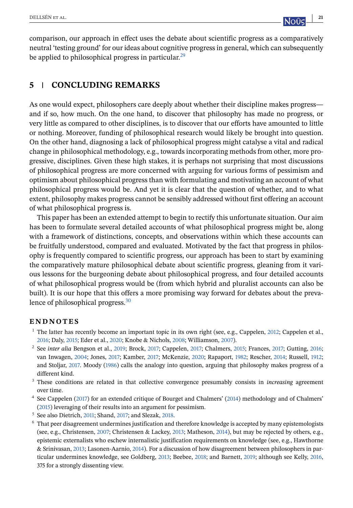<span id="page-20-0"></span>comparison, our approach in effect uses the debate about scientific progress as a comparatively neutral 'testing ground' for our ideas about cognitive progress in general, which can subsequently be applied to philosophical progress in particular[.](#page-22-0)<sup>29</sup>

# **5 CONCLUDING REMARKS**

As one would expect, philosophers care deeply about whether their discipline makes progress and if so, how much. On the one hand, to discover that philosophy has made no progress, or very little as compared to other disciplines, is to discover that our efforts have amounted to little or nothing. Moreover, funding of philosophical research would likely be brought into question. On the other hand, diagnosing a lack of philosophical progress might catalyse a vital and radical change in philosophical methodology, e.g., towards incorporating methods from other, more progressive, disciplines. Given these high stakes, it is perhaps not surprising that most discussions of philosophical progress are more concerned with arguing for various forms of pessimism and optimism about philosophical progress than with formulating and motivating an account of what philosophical progress would be. And yet it is clear that the question of whether, and to what extent, philosophy makes progress cannot be sensibly addressed without first offering an account of what philosophical progress is.

This paper has been an extended attempt to begin to rectify this unfortunate situation. Our aim has been to formulate several detailed accounts of what philosophical progress might be, along with a framework of distinctions, concepts, and observations within which these accounts can be fruitfully understood, compared and evaluated. Motivated by the fact that progress in philosophy is frequently compared to scientific progress, our approach has been to start by examining the comparatively mature philosophical debate about scientific progress, gleaning from it various lessons for the burgeoning debate about philosophical progress, and four detailed accounts of what philosophical progress would be (from which hybrid and pluralist accounts can also be built). It is our hope that this offers a more promising way forward for debates about the prevalence of philosophical progress[.](#page-22-0)<sup>30</sup>

# **ENDNOTES**

- <sup>1</sup> The latter has recently become an important topic in its own right (see, e.g., Cappelen, [2012;](#page-23-0) Cappelen et al., [2016;](#page-23-0) Daly, [2015;](#page-23-0) Eder et al., [2020;](#page-23-0) Knobe & Nichols, [2008;](#page-24-0) Williamson, [2007\)](#page-26-0).
- <sup>2</sup> See *inter alia* Bengson et al., [2019;](#page-22-0) Brock, [2017;](#page-23-0) Cappelen, [2017;](#page-23-0) Chalmers, [2015;](#page-23-0) Frances, [2017;](#page-23-0) Gutting, [2016;](#page-24-0) van Inwagen, [2004;](#page-25-0) Jones, [2017;](#page-24-0) Kamber, [2017;](#page-24-0) McKenzie, [2020;](#page-24-0) Rapaport, [1982;](#page-25-0) Rescher, [2014;](#page-25-0) Russell, [1912;](#page-25-0) and Stoljar, [2017.](#page-25-0) Moody [\(1986\)](#page-25-0) calls the analogy into question, arguing that philosophy makes progress of a different kind.
- <sup>3</sup> These conditions are related in that collective convergence presumably consists in *increasing* agreement over time.
- <sup>4</sup> See Cappelen [\(2017\)](#page-23-0) for an extended critique of Bourget and Chalmers' [\(2014\)](#page-23-0) methodology and of Chalmers' [\(2015\)](#page-23-0) leveraging of their results into an argument for pessimism.
- <sup>5</sup> See also Dietrich, [2011;](#page-23-0) Shand, [2017;](#page-25-0) and Slezak, [2018.](#page-25-0)
- <sup>6</sup> That peer disagreement undermines justification and therefore knowledge is accepted by many epistemologists (see, e.g., Christensen, [2007;](#page-23-0) Christensen & Lackey, [2013;](#page-23-0) Matheson, [2014\)](#page-24-0), but may be rejected by others, e.g., epistemic externalists who eschew internalistic justification requirements on knowledge (see, e.g., Hawthorne & Srinivasan, [2013;](#page-24-0) Lasonen-Aarnio, [2014\)](#page-24-0). For a discussion of how disagreement between philosophers in particular undermines knowledge, see Goldberg, [2013;](#page-23-0) Beebee, [2018;](#page-22-0) and Barnett, [2019;](#page-22-0) although see Kelly, [2016,](#page-24-0) 375 for a strongly dissenting view.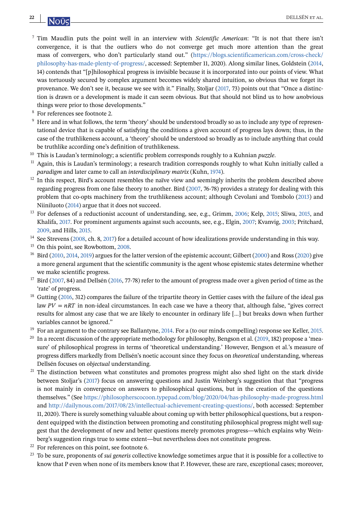- <sup>7</sup> Tim Maudlin puts the point well in an interview with *Scientific American*: "It is not that there isn't convergence, it is that the outliers who do not converge get much more attention than the great mass of convergers, who don't particularly stand out." [\(https://blogs.scientificamerican.com/cross-check/](https://blogs.scientificamerican.com/cross-check/philosophy-has-made-plenty-of-progress/) [philosophy-has-made-plenty-of-progress/,](https://blogs.scientificamerican.com/cross-check/philosophy-has-made-plenty-of-progress/) accessed: September 11, 2020). Along similar lines, Goldstein [\(2014,](#page-23-0) 14) contends that "[p]hilosophical progress is invisible because it is incorporated into our points of view. What was tortuously secured by complex argument becomes widely shared intuition, so obvious that we forget its provenance. We don't see it, because we see with it." Finally, Stoljar [\(2017,](#page-25-0) 73) points out that "Once a distinction is drawn or a development is made it can seem obvious. But that should not blind us to how *un*obvious things were prior to those developments."
- <sup>8</sup> For references see footnote 2.
- <sup>9</sup> Here and in what follows, the term 'theory' should be understood broadly so as to include any type of representational device that is capable of satisfying the conditions a given account of progress lays down; thus, in the case of the truthlikeness account, a 'theory' should be understood so broadly as to include anything that could be truthlike according one's definition of truthlikeness.
- <sup>10</sup> This is Laudan's terminology; a scientific problem corresponds roughly to a Kuhnian *puzzle*.
- $11$  Again, this is Laudan's terminology; a research tradition corresponds roughly to what Kuhn initially called a *paradigm* and later came to call an *interdisciplinary matrix* (Kuhn, [1974\)](#page-24-0).
- $12$  In this respect, Bird's account resembles the naïve view and seemingly inherits the problem described above regarding progress from one false theory to another. Bird [\(2007,](#page-22-0) 76-78) provides a strategy for dealing with this problem that co-opts machinery from the truthlikeness account; although Cevolani and Tombolo [\(2013\)](#page-23-0) and Niiniluoto [\(2014\)](#page-25-0) argue that it does not succeed.
- <sup>13</sup> For defenses of a reductionist account of understanding, see, e.g., Grimm, [2006;](#page-24-0) Kelp, [2015;](#page-24-0) Sliwa, [2015,](#page-25-0) and Khalifa, [2017.](#page-24-0) For prominent arguments against such accounts, see, e.g., Elgin, [2007;](#page-23-0) Kvanvig, [2003;](#page-24-0) Pritchard, [2009,](#page-25-0) and Hills, [2015.](#page-24-0)
- <sup>14</sup> See Strevens [\(2008,](#page-25-0) ch. 8, [2017\)](#page-25-0) for a detailed account of how idealizations provide understanding in this way.
- <sup>15</sup> On this point, see Rowbottom, [2008.](#page-25-0)
- <sup>16</sup> Bird [\(2010,](#page-22-0) [2014,](#page-22-0) [2019\)](#page-23-0) argues for the latter version of the epistemic account; Gilbert [\(2000\)](#page-23-0) and Ross [\(2020\)](#page-25-0) give a more general argument that the scientific community is the agent whose epistemic states determine whether we make scientific progress.
- $17$  Bird [\(2007,](#page-22-0) 84) and Dellsén [\(2016,](#page-23-0) 77-78) refer to the amount of progress made over a given period of time as the 'rate' of progress.
- <sup>18</sup> Gutting [\(2016,](#page-24-0) 312) compares the failure of the tripartite theory in Gettier cases with the failure of the ideal gas law  $PV = nRT$  in non-ideal circumstances. In each case we have a theory that, although false, "gives correct results for almost any case that we are likely to encounter in ordinary life [...] but breaks down when further variables cannot be ignored."
- $19$  For an argument to the contrary see Ballantyne, [2014.](#page-22-0) For a (to our minds compelling) response see Keller, [2015.](#page-24-0)
- <sup>20</sup> In a recent discussion of the appropriate methodology for philosophy, Bengson et al. [\(2019,](#page-22-0) 182) propose a 'measure' of philosophical progress in terms of 'theoretical understanding.' However, Bengson et al.'s measure of progress differs markedly from Dellsén's noetic account since they focus on *theoretical* understanding, whereas Dellsén focuses on *objectual* understanding.
- <sup>21</sup> The distinction between what constitutes and promotes progress might also shed light on the stark divide between Stoljar's [\(2017\)](#page-25-0) focus on answering questions and Justin Weinberg's suggestion that that "progress is not mainly in convergence on answers to philosophical questions, but in the creation of the questions themselves." (See <https://philosopherscocoon.typepad.com/blog/2020/04/has-philosophy-made-progress.html> and [http://dailynous.com/2017/08/23/intellectual-achievement-creating-questions/,](http://dailynous.com/2017/08/23/intellectual-achievement-creating-questions/) both accessed: September 11, 2020). There is surely something valuable about coming up with better philosophical questions, but a respondent equipped with the distinction between promoting and constituting philosophical progress might well suggest that the development of new and better questions merely promotes progress—which explains why Weinberg's suggestion rings true to some extent—but nevertheless does not constitute progress.
- $22$  For references on this point, see footnote 6.
- <sup>23</sup> To be sure, proponents of *sui generis* collective knowledge sometimes argue that it is possible for a collective to know that P even when none of its members know that P. However, these are rare, exceptional cases; moreover,

<span id="page-21-0"></span>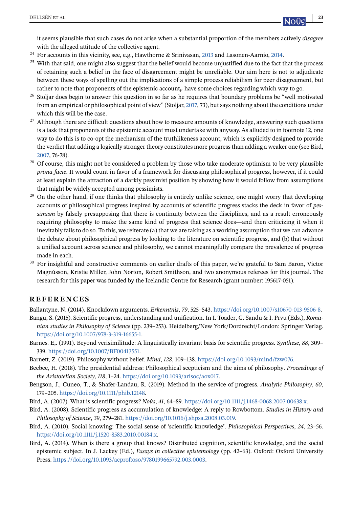<span id="page-22-0"></span>it seems plausible that such cases do not arise when a substantial proportion of the members actively *disagree* with the alleged attitude of the collective agent.

- <sup>24</sup> For accounts in this vicinity, see, e.g., Hawthorne & Srinivasan, [2013](#page-24-0) and Lasonen-Aarnio, [2014.](#page-24-0)
- <sup>25</sup> With that said, one might also suggest that the belief would become unjustified due to the fact that the process of retaining such a belief in the face of disagreement might be unreliable. Our aim here is not to adjudicate between these ways of spelling out the implications of a simple process reliabilism for peer disagreement, but rather to note that proponents of the epistemic account<sub>p</sub> have some choices regarding which way to go.
- <sup>26</sup> Stoljar does begin to answer this question in so far as he requires that boundary problems be "well motivated from an empirical or philosophical point of view" (Stoljar, [2017,](#page-25-0) 73), but says nothing about the conditions under which this will be the case.
- <sup>27</sup> Although there are difficult questions about how to measure amounts of knowledge, answering such questions is a task that proponents of the epistemic account must undertake with anyway. As alluded to in footnote 12, one way to do this is to co-opt the mechanism of the truthlikeness account, which is explicitly designed to provide the verdict that adding a logically stronger theory constitutes more progress than adding a weaker one (see Bird, 2007, 76-78).
- <sup>28</sup> Of course, this might not be considered a problem by those who take moderate optimism to be very plausible *prima facie*. It would count in favor of a framework for discussing philosophical progress, however, if it could at least explain the attraction of a darkly pessimist position by showing how it would follow from assumptions that might be widely accepted among pessimists.
- <sup>29</sup> On the other hand, if one thinks that philosophy is entirely unlike science, one might worry that developing accounts of philosophical progress inspired by accounts of scientific progress stacks the deck in favor of *pessimism* by falsely presupposing that there is continuity between the disciplines, and as a result erroneously requiring philosophy to make the same kind of progress that science does—and then criticizing it when it inevitably fails to do so. To this, we reiterate (a) that we are taking as a working assumption that we can advance the debate about philosophical progress by looking to the literature on scientific progress, and (b) that without a unified account across science and philosophy, we cannot meaningfully compare the prevalence of progress made in each.
- <sup>30</sup> For insightful and constructive comments on earlier drafts of this paper, we're grateful to Sam Baron, Victor Magnússon, Kristie Miller, John Norton, Robert Smithson, and two anonymous referees for this journal. The research for this paper was funded by the Icelandic Centre for Research (grant number: 195617-051).

#### **REFERENCES**

Ballantyne, N. (2014). Knockdown arguments. *Erkenntnis*, *79*, 525–543. [https://doi.org/10.1007/s10670-013-9506-8.](https://doi.org/10.1007/s10670-013-9506-8)

- Bangu, S. (2015). Scientific progress, understanding and unification. In I. Toader, G. Sandu & I. Prvu (Eds.), *Romanian studies in Philosophy of Science* (pp. 239–253). Heidelberg/New York/Dordrecht/London: Springer Verlag. [https://doi.org/10.1007/978-3-319-16655-1.](https://doi.org/10.1007/978-3-319-16655-1)
- Barnes. E,. (1991). Beyond verisimilitude: A linguistically invariant basis for scientific progress. *Synthese*, *88*, 309– 339. [https://doi.org/10.1007/BF00413551.](https://doi.org/10.1007/BF00413551)
- Barnett, Z. (2019). Philosophy without belief. *Mind*, *128*, 109–138. [https://doi.org/10.1093/mind/fzw076.](https://doi.org/10.1093/mind/fzw076)
- Beebee, H. (2018). The presidential address: Philosophical scepticism and the aims of philosophy. *Proceedings of the Aristotelian Society*, *118*, 1–24. [https://doi.org/10.1093/arisoc/aox017.](https://doi.org/10.1093/arisoc/aox017)
- Bengson, J., Cuneo, T., & Shafer-Landau, R. (2019). Method in the service of progress. *Analytic Philosophy*, *60*, 179–205. [https://doi.org/10.1111/phib.12148.](https://doi.org/10.1111/phib.12148)
- Bird, A. (2007). What is scientific progress? *Noûs*, *41*, 64–89. [https://doi.org/10.1111/j.1468-0068.2007.00638.x.](https://doi.org/10.1111/j.1468-0068.2007.00638.x)
- Bird, A. (2008). Scientific progress as accumulation of knowledge: A reply to Rowbottom. *Studies in History and Philosophy of Science*, *39*, 279–281. [https://doi.org/10.1016/j.shpsa.2008.03.019.](https://doi.org/10.1016/j.shpsa.2008.03.019)
- Bird, A. (2010). Social knowing: The social sense of 'scientific knowledge'. *Philosophical Perspectives*, *24*, 23–56. [https://doi.org/10.1111/j.1520-8583.2010.00184.x.](https://doi.org/10.1111/j.1520-8583.2010.00184.x)
- Bird, A. (2014). When is there a group that knows? Distributed cognition, scientific knowledge, and the social epistemic subject. In J. Lackey (Ed.), *Essays in collective epistemology* (pp. 42–63). Oxford: Oxford University Press. [https://doi.org/10.1093/acprof:oso/9780199665792.003.0003.](https://doi.org/10.1093/acprof:oso/9780199665792.003.0003)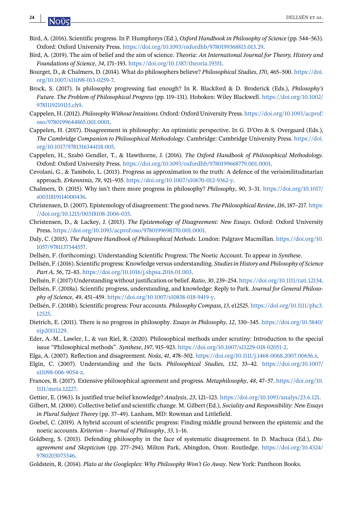- Bird, A. (2016). Scientific progress. In P. Humphreys (Ed.), *Oxford Handbook in Philosophy of Science* (pp. 544–563). Oxford: Oxford University Press. [https://doi.org/10.1093/oxfordhb/9780199368815.013.29.](https://doi.org/10.1093/oxfordhb/9780199368815.013.29)
- Bird, A. (2019). The aim of belief and the aim of science. *Theoria: An International Journal for Theory, History and Foundations of Science*, *34*, 171–193. [https://doi.org/10.1387/theoria.19351.](https://doi.org/10.1387/theoria.19351)
- Bourget, D., & Chalmers, D. (2014). What do philosophers believe? *Philosophical Studies*, *170*, 465–500. [https://doi.](https://doi.org/10.1007/s11098-013-0259-7) [org/10.1007/s11098-013-0259-7.](https://doi.org/10.1007/s11098-013-0259-7)
- Brock, S. (2017). Is philosophy progressing fast enough? In R. Blackford & D. Broderick (Eds.), *Philosophy's Future. The Problem of Philosophical Progress* (pp. 119–131). Hoboken: Wiley Blackwell. [https://doi.org/10.1002/](https://doi.org/10.1002/9781119210115.ch9) [9781119210115.ch9.](https://doi.org/10.1002/9781119210115.ch9)
- Cappelen, H. (2012). *Philosophy Without Intuitions*. Oxford: Oxford University Press. [https://doi.org/10.1093/acprof:](https://doi.org/10.1093/acprof:oso/9780199644865.001.0001) [oso/9780199644865.001.0001.](https://doi.org/10.1093/acprof:oso/9780199644865.001.0001)
- Cappelen, H. (2017). Disagreement in philosophy: An optimistic perspective. In G. D'Oro & S. Overgaard (Eds.), *The Cambridge Companion to Philosophical Methodology*. Cambridge: Cambridge University Press. [https://doi.](https://doi.org/10.1017/9781316344118.005) [org/10.1017/9781316344118.005.](https://doi.org/10.1017/9781316344118.005)
- Cappelen, H., Szabó Gendler, T., & Hawthorne, J. (2016). *The Oxford Handbook of Philosophical Methodology*. Oxford: Oxford University Press. [https://doi.org/10.1093/oxfordhb/9780199668779.001.0001.](https://doi.org/10.1093/oxfordhb/9780199668779.001.0001)
- Cevolani, G., & Tambolo, L. (2013). Progress as approximation to the truth: A defence of the verisimilitudinarian approach. *Erkenntnis*, *78*, 921–935. [https://doi.org/10.1007/s10670-012-9362-y.](https://doi.org/10.1007/s10670-012-9362-y)
- Chalmers, D. (2015). Why isn't there more progress in philosophy? *Philosophy*, *90*, 3–31. [https://doi.org/10.1017/](https://doi.org/10.1017/s0031819114000436) [s0031819114000436.](https://doi.org/10.1017/s0031819114000436)
- Christensen, D. (2007). Epistemology of disagreement: The good news. *The Philosophical Review*,*116*, 187–217. [https:](https://doi.org/10.1215/00318108-2006-035) [//doi.org/10.1215/00318108-2006-035.](https://doi.org/10.1215/00318108-2006-035)
- Christensen, D., & Lackey, J. (2013). *The Epistemology of Disagreement: New Essays*. Oxford: Oxford University Press. [https://doi.org/10.1093/acprof:oso/9780199698370.001.0001.](https://doi.org/10.1093/acprof:oso/9780199698370.001.0001)
- Daly, C. (2015). *The Palgrave Handbook of Philosophical Methods*. London: Palgrave Macmillan. [https://doi.org/10.](https://doi.org/10.1057/9781137344557) [1057/9781137344557.](https://doi.org/10.1057/9781137344557)
- Dellsén, F. (forthcoming). Understanding Scientific Progress: The Noetic Account. To appear in *Synthese*.
- Dellsén, F. (2016). Scientific progress: Knowledge versus understanding. *Studies in History and Philosophy of Science Part A*, *56*, 72–83. [https://doi.org/10.1016/j.shpsa.2016.01.003.](https://doi.org/10.1016/j.shpsa.2016.01.003)
- Dellsén, F. (2017) Understanding without justification or belief. *Ratio*, *30*, 239–254. [https://doi.org/10.1111/rati.12134.](https://doi.org/10.1111/rati.12134)
- Dellsén, F. (2018a). Scientific progress, understanding, and knowledge: Reply to Park. *Journal for General Philosophy of Science*, *49*, 451–459. [https://doi.org/10.1007/s10838-018-9419-y.](https://doi.org/10.1007/s10838-018-9419-y)
- Dellsén, F. (2018b). Scientific progress: Four accounts. *Philosophy Compass*, *13*, e12525. [https://doi.org/10.1111/phc3.](https://doi.org/10.1111/phc3.12525) [12525.](https://doi.org/10.1111/phc3.12525)
- Dietrich, E. (2011). There is no progress in philosophy. *Essays in Philosophy*, *12*, 330–345. [https://doi.org/10.5840/](https://doi.org/10.5840/eip20111229) [eip20111229.](https://doi.org/10.5840/eip20111229)
- Eder, A.-M., Lawler, I., & van Riel, R. (2020). Philosophical methods under scrutiny: Introduction to the special issue "Philosophical methods". *Synthese*, *197*, 915–923. [https://doi.org/10.1007/s11229-018-02051-2.](https://doi.org/10.1007/s11229-018-02051-2)
- Elga, A. (2007). Reflection and disagreement. *Noûs*, *41*, 478–502. [https://doi.org/10.1111/j.1468-0068.2007.00656.x.](https://doi.org/10.1111/j.1468-0068.2007.00656.x)
- Elgin, C. (2007). Understanding and the facts. *Philosophical Studies*, *132*, 33–42. [https://doi.org/10.1007/](https://doi.org/10.1007/s11098-006-9054-z) [s11098-006-9054-z.](https://doi.org/10.1007/s11098-006-9054-z)
- Frances, B. (2017). Extensive philosophical agreement and progress. *Metaphilosophy*, *48*, 47–57. [https://doi.org/10.](https://doi.org/10.1111/meta.12227) [1111/meta.12227.](https://doi.org/10.1111/meta.12227)
- Gettier, E. (1963). Is justified true belief knowledge? *Analysis*, *23*, 121–123. [https://doi.org/10.1093/analys/23.6.121.](https://doi.org/10.1093/analys/23.6.121)
- Gilbert, M. (2000). Collective belief and scientific change. M. Gilbert (Ed.), *Sociality and Responsibility: New Essays in Plural Subject Theory* (pp. 37–49). Lanham, MD: Rowman and Littlefield.
- Goebel, C. (2019). A hybrid account of scientific progress: Finding middle ground between the epistemic and the noetic accounts. *Kriterion – Journal of Philosophy*, *33*, 1–16.
- Goldberg, S. (2013). Defending philosophy in the face of systematic disagreement. In D. Machuca (Ed.), *Disagreement and Skepticism* (pp. 277–294). Milton Park, Abingdon, Oxon: Routledge. [https://doi.org/10.4324/](https://doi.org/10.4324/9780203073346) [9780203073346.](https://doi.org/10.4324/9780203073346)
- Goldstein, R. (2014). *Plato at the Googleplex: Why Philosophy Won't Go Away*. New York: Pantheon Books.

<span id="page-23-0"></span>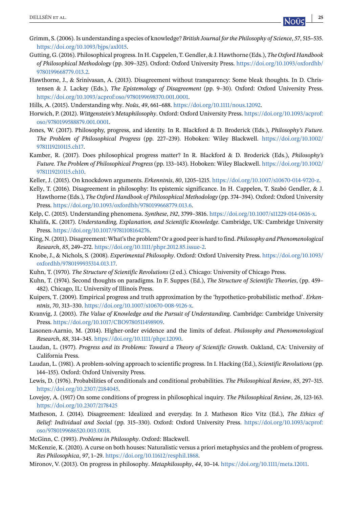- <span id="page-24-0"></span>Grimm, S. (2006). Is understanding a species of knowledge? *British Journal for the Philosophy of Science*, *57*, 515–535. [https://doi.org/10.1093/bjps/axl015.](https://doi.org/10.1093/bjps/axl015)
- Gutting, G. (2016). Philosophical progress. In H. Cappelen, T. Gendler, & J. Hawthorne (Eds.), *The Oxford Handbook of Philosophical Methodology* (pp. 309–325). Oxford: Oxford University Press. [https://doi.org/10.1093/oxfordhb/](https://doi.org/10.1093/oxfordhb/9780199668779.013.2) [9780199668779.013.2.](https://doi.org/10.1093/oxfordhb/9780199668779.013.2)
- Hawthorne, J., & Srinivasan, A. (2013). Disagreement without transparency: Some bleak thoughts. In D. Christensen & J. Lackey (Eds.), *The Epistemology of Disagreement* (pp. 9–30). Oxford: Oxford University Press. [https://doi.org/10.1093/acprof:oso/9780199698370.001.0001.](https://doi.org/10.1093/acprof:oso/9780199698370.001.0001)
- Hills, A. (2015). Understanding why. *Noûs*, *49*, 661–688. [https://doi.org/10.1111/nous.12092.](https://doi.org/10.1111/nous.12092)
- Horwich, P. (2012). *Wittgenstein's Metaphilosophy*. Oxford: Oxford University Press. [https://doi.org/10.1093/acprof:](https://doi.org/10.1093/acprof:oso/9780199588879.001.0001) [oso/9780199588879.001.0001.](https://doi.org/10.1093/acprof:oso/9780199588879.001.0001)
- Jones, W. (2017). Philosophy, progress, and identity. In R. Blackford & D. Broderick (Eds.), *Philosophy's Future. The Problem of Philosophical Progress* (pp. 227–239). Hoboken: Wiley Blackwell. [https://doi.org/10.1002/](https://doi.org/10.1002/9781119210115.ch17) [9781119210115.ch17.](https://doi.org/10.1002/9781119210115.ch17)
- Kamber, R. (2017). Does philosophical progress matter? In R. Blackford & D. Broderick (Eds.), *Philosophy's Future. The Problem of Philosophical Progress* (pp. 133–143). Hoboken: Wiley Blackwell. [https://doi.org/10.1002/](https://doi.org/10.1002/9781119210115.ch10) [9781119210115.ch10.](https://doi.org/10.1002/9781119210115.ch10)
- Keller, J. (2015). On knockdown arguments. *Erkenntnis*, *80*, 1205–1215. [https://doi.org/10.1007/s10670-014-9720-z.](https://doi.org/10.1007/s10670-014-9720-z)
- Kelly, T. (2016). Disagreement in philosophy: Its epistemic significance. In H. Cappelen, T. Szabó Gendler, & J. Hawthorne (Eds.), *The Oxford Handbook of Philosophical Methodology* (pp. 374–394). Oxford: Oxford University Press. [https://doi.org/10.1093/oxfordhb/9780199668779.013.6.](https://doi.org/10.1093/oxfordhb/9780199668779.013.6)
- Kelp, C. (2015). Understanding phenomena. *Synthese*, *192*, 3799–3816. [https://doi.org/10.1007/s11229-014-0616-x.](https://doi.org/10.1007/s11229-014-0616-x)
- Khalifa, K. (2017). *Understanding, Explanation, and Scientific Knowledge*. Cambridge, UK: Cambridge University Press. [https://doi.org/10.1017/9781108164276.](https://doi.org/10.1017/9781108164276)
- King, N. (2011). Disagreement: What's the problem? Or a good peer is hard to find. *Philosophy and Phenomenological Research*, *85*, 249–272. [https://doi.org/10.1111/phpr.2012.85.issue-2.](https://doi.org/10.1111/phpr.2012.85.issue-2)
- Knobe, J., & Nichols, S. (2008). *Experimental Philosophy*. Oxford: Oxford University Press. [https://doi.org/10.1093/](https://doi.org/10.1093/oxfordhb/9780199935314.013.17) [oxfordhb/9780199935314.013.17.](https://doi.org/10.1093/oxfordhb/9780199935314.013.17)
- Kuhn, T. (1970). *The Structure of Scientific Revolutions* (2 ed.). Chicago: University of Chicago Press.
- Kuhn, T. (1974). Second thoughts on paradigms. In F. Suppes (Ed.), *The Structure of Scientific Theories*, (pp. 459– 482). Chicago, IL: University of Illinois Press.
- Kuipers, T. (2009). Empirical progress and truth approximation by the 'hypothetico-probabilistic method'. *Erkenntnis*, *70*, 313–330. [https://doi.org/10.1007/s10670-008-9126-x.](https://doi.org/10.1007/s10670-008-9126-x)
- Kvanvig, J. (2003). *The Value of Knowledge and the Pursuit of Understanding*. Cambridge: Cambridge University Press. [https://doi.org/10.1017/CBO9780511498909.](https://doi.org/10.1017/CBO9780511498909)
- Lasonen-Aarnio, M. (2014). Higher-order evidence and the limits of defeat. *Philosophy and Phenomenological Research*, *88*, 314–345. [https://doi.org/10.1111/phpr.12090.](https://doi.org/10.1111/phpr.12090)
- Laudan, L. (1977). *Progress and its Problems: Toward a Theory of Scientific Growth*. Oakland, CA: University of California Press.
- Laudan, L. (1981). A problem-solving approach to scientific progress. In I. Hacking (Ed.), *Scientific Revolutions* (pp. 144–155). Oxford: Oxford University Press.
- Lewis, D. (1976). Probabilities of conditionals and conditional probabilities. *The Philosophical Review*, *85*, 297–315. [https://doi.org/10.2307/2184045.](https://doi.org/10.2307/2184045)
- Lovejoy, A. (1917) On some conditions of progress in philosophical inquiry. *The Philosophical Review*, *26*, 123-163. <https://doi.org/10.2307/2178425>
- Matheson, J. (2014). Disagreement: Idealized and everyday. In J. Matheson Rico Vitz (Ed.), *The Ethics of Belief: Individual and Social* (pp. 315–330). Oxford: Oxford University Press. [https://doi.org/10.1093/acprof:](https://doi.org/10.1093/acprof:oso/9780199686520.003.0018) [oso/9780199686520.003.0018.](https://doi.org/10.1093/acprof:oso/9780199686520.003.0018)
- McGinn, C. (1993). *Problems in Philosophy*. Oxford: Blackwell.
- McKenzie, K. (2020). A curse on both houses: Naturalistic versus a priori metaphysics and the problem of progress. *Res Philosophica*, *97*, 1–29. [https://doi.org/10.11612/resphil.1868.](https://doi.org/10.11612/resphil.1868)
- Mironov, V. (2013). On progress in philosophy. *Metaphilosophy*, *44*, 10–14. [https://doi.org/10.1111/meta.12011.](https://doi.org/10.1111/meta.12011)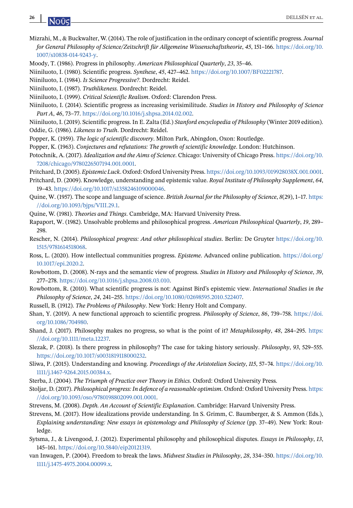- <span id="page-25-0"></span>Mizrahi, M., & Buckwalter, W. (2014). The role of justification in the ordinary concept of scientific progress.*Journal for General Philosophy of Science/Zeitschrift für Allgemeine Wissenschaftstheorie*, *45*, 151–166. [https://doi.org/10.](https://doi.org/10.1007/s10838-014-9243-y) [1007/s10838-014-9243-y.](https://doi.org/10.1007/s10838-014-9243-y)
- Moody, T. (1986). Progress in philosophy. *American Philosophical Quarterly*, *23*, 35–46.
- Niiniluoto, I. (1980). Scientific progress. *Synthese*, *45*, 427–462. [https://doi.org/10.1007/BF02221787.](https://doi.org/10.1007/BF02221787)
- Niiniluoto, I. (1984). *Is Science Progressive?*. Dordrecht: Reidel.
- Niiniluoto, I. (1987). *Truthlikeness*. Dordrecht: Reidel.
- Niiniluoto, I. (1999). *Critical Scientific Realism*. Oxford: Clarendon Press.
- Niiniluoto, I. (2014). Scientific progress as increasing verisimilitude. *Studies in History and Philosophy of Science Part A*, *46*, 73–77. [https://doi.org/10.1016/j.shpsa.2014.02.002.](https://doi.org/10.1016/j.shpsa.2014.02.002)
- Niiniluoto, I. (2019). Scientific progress. In E. Zalta (Ed.) *Stanford encyclopedia of Philosophy* (Winter 2019 edition). Oddie, G. (1986). *Likeness to Truth*. Dordrecht: Reidel.
- Popper, K. (1959). *The logic of scientific discovery*. Milton Park, Abingdon, Oxon: Routledge.
- Popper, K. (1963). *Conjectures and refutations: The growth of scientific knowledge*. London: Hutchinson.
- Potochnik, A. (2017). *Idealization and the Aims of Science*. Chicago: University of Chicago Press. [https://doi.org/10.](https://doi.org/10.7208/chicago/9780226507194.001.0001) [7208/chicago/9780226507194.001.0001.](https://doi.org/10.7208/chicago/9780226507194.001.0001)
- Pritchard, D. (2005). *Epistemic Luck*. Oxford: Oxford University Press. [https://doi.org/10.1093/019928038X.001.0001.](https://doi.org/10.1093/019928038X.001.0001)
- Pritchard, D. (2009). Knowledge, understanding and epistemic value. *Royal Institute of Philosophy Supplement*, *64*, 19–43. [https://doi.org/10.1017/s1358246109000046.](https://doi.org/10.1017/s1358246109000046)
- Quine, W. (1957). The scope and language of science. *British Journal for the Philosophy of Science*, *8*(29), 1–17. [https:](https://doi.org/10.1093/bjps/VIII.29.1) [//doi.org/10.1093/bjps/VIII.29.1.](https://doi.org/10.1093/bjps/VIII.29.1)
- Quine, W. (1981). *Theories and Things*. Cambridge, MA: Harvard University Press.
- Rapaport, W. (1982). Unsolvable problems and philosophical progress. *American Philosophical Quarterly*, *19*, 289– 298.
- Rescher, N. (2014). *Philosophical progress: And other philosophical studies*. Berlin: De Gruyter [https://doi.org/10.](https://doi.org/10.1515/9781614518068) [1515/9781614518068.](https://doi.org/10.1515/9781614518068)
- Ross, L. (2020). How intellectual communities progress. *Episteme*. Advanced online publication. [https://doi.org/](https://doi.org/10.1017/epi.2020.2) [10.1017/epi.2020.2.](https://doi.org/10.1017/epi.2020.2)
- Rowbottom, D. (2008). N-rays and the semantic view of progress. *Studies in History and Philosophy of Science*, *39*, 277–278. [https://doi.org/10.1016/j.shpsa.2008.03.010.](https://doi.org/10.1016/j.shpsa.2008.03.010)
- Rowbottom, R. (2010). What scientific progress is not: Against Bird's epistemic view. *International Studies in the Philosophy of Science*, *24*, 241–255. [https://doi.org/10.1080/02698595.2010.522407.](https://doi.org/10.1080/02698595.2010.522407)
- Russell, B. (1912). *The Problems of Philosophy*. New York: Henry Holt and Company.
- Shan, Y. (2019). A new functional approach to scientific progress. *Philosophy of Science*, *86*, 739–758. [https://doi.](https://doi.org/10.1086/704980) [org/10.1086/704980.](https://doi.org/10.1086/704980)
- Shand, J. (2017). Philosophy makes no progress, so what is the point of it? *Metaphilosophy*, *48*, 284–295. [https:](https://doi.org/10.1111/meta.12237) [//doi.org/10.1111/meta.12237.](https://doi.org/10.1111/meta.12237)
- Slezak, P. (2018). Is there progress in philosophy? The case for taking history seriously. *Philosophy*, *93*, 529–555. [https://doi.org/10.1017/s0031819118000232.](https://doi.org/10.1017/s0031819118000232)
- Sliwa, P. (2015). Understanding and knowing. *Proceedings of the Aristotelian Society*, *115*, 57–74. [https://doi.org/10.](https://doi.org/10.1111/j.1467-9264.2015.00384.x) [1111/j.1467-9264.2015.00384.x.](https://doi.org/10.1111/j.1467-9264.2015.00384.x)
- Sterba, J. (2004). *The Triumph of Practice over Theory in Ethics*. Oxford: Oxford University Press.
- Stoljar, D. (2017). *Philosophical progress: In defence of a reasonable optimism*. Oxford: Oxford University Press. [https:](https://doi.org/10.1093/oso/9780198802099.001.0001) [//doi.org/10.1093/oso/9780198802099.001.0001.](https://doi.org/10.1093/oso/9780198802099.001.0001)
- Strevens, M. (2008). *Depth. An Account of Scientific Explanation*. Cambridge: Harvard University Press.
- Strevens, M. (2017). How idealizations provide understanding. In S. Grimm, C. Baumberger, & S. Ammon (Eds.), *Explaining understanding: New essays in epistemology and Philosophy of Science* (pp. 37–49). New York: Routledge.
- Sytsma, J., & Livengood, J. (2012). Experimental philosophy and philosophical disputes. *Essays in Philosophy*, *13*, 145–161. [https://doi.org/10.5840/eip20121319.](https://doi.org/10.5840/eip20121319)
- van Inwagen, P. (2004). Freedom to break the laws. *Midwest Studies in Philosophy*, *28*, 334–350. [https://doi.org/10.](https://doi.org/10.1111/j.1475-4975.2004.00099.x) [1111/j.1475-4975.2004.00099.x.](https://doi.org/10.1111/j.1475-4975.2004.00099.x)